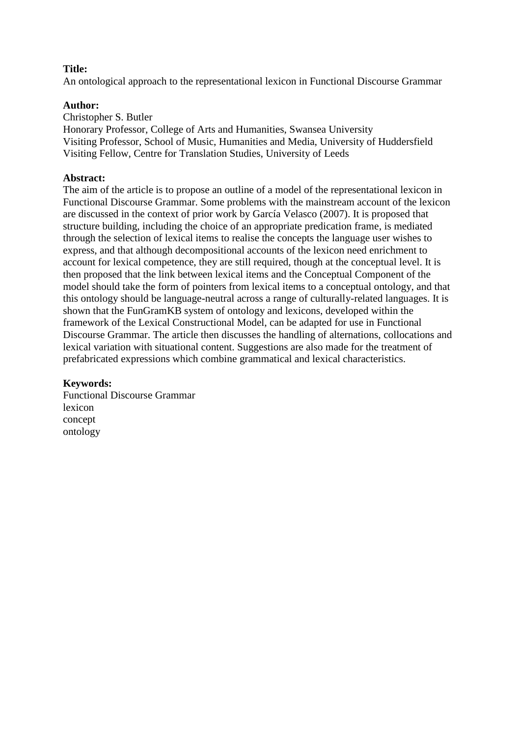## **Title:**

An ontological approach to the representational lexicon in Functional Discourse Grammar

## **Author:**

#### Christopher S. Butler

Honorary Professor, College of Arts and Humanities, Swansea University Visiting Professor, School of Music, Humanities and Media, University of Huddersfield Visiting Fellow, Centre for Translation Studies, University of Leeds

## **Abstract:**

The aim of the article is to propose an outline of a model of the representational lexicon in Functional Discourse Grammar. Some problems with the mainstream account of the lexicon are discussed in the context of prior work by García Velasco (2007). It is proposed that structure building, including the choice of an appropriate predication frame, is mediated through the selection of lexical items to realise the concepts the language user wishes to express, and that although decompositional accounts of the lexicon need enrichment to account for lexical competence, they are still required, though at the conceptual level. It is then proposed that the link between lexical items and the Conceptual Component of the model should take the form of pointers from lexical items to a conceptual ontology, and that this ontology should be language-neutral across a range of culturally-related languages. It is shown that the FunGramKB system of ontology and lexicons, developed within the framework of the Lexical Constructional Model, can be adapted for use in Functional Discourse Grammar. The article then discusses the handling of alternations, collocations and lexical variation with situational content. Suggestions are also made for the treatment of prefabricated expressions which combine grammatical and lexical characteristics.

## **Keywords:**

Functional Discourse Grammar lexicon concept ontology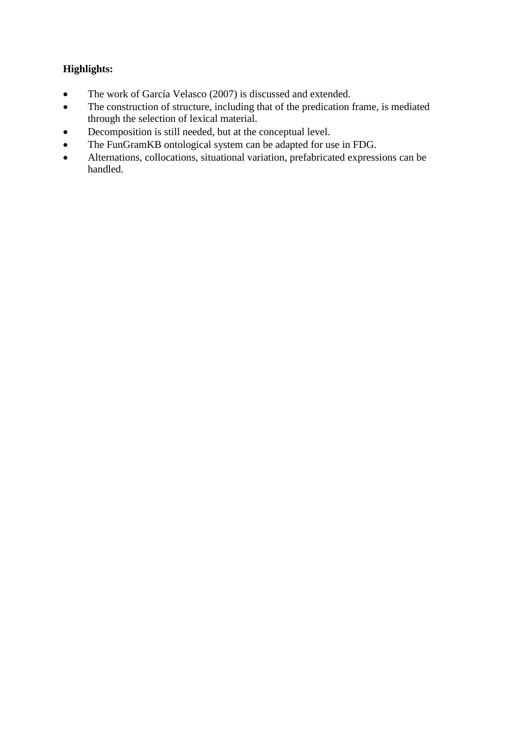# **Highlights:**

- The work of García Velasco (2007) is discussed and extended.
- The construction of structure, including that of the predication frame, is mediated through the selection of lexical material.
- Decomposition is still needed, but at the conceptual level.
- The FunGramKB ontological system can be adapted for use in FDG.
- Alternations, collocations, situational variation, prefabricated expressions can be handled.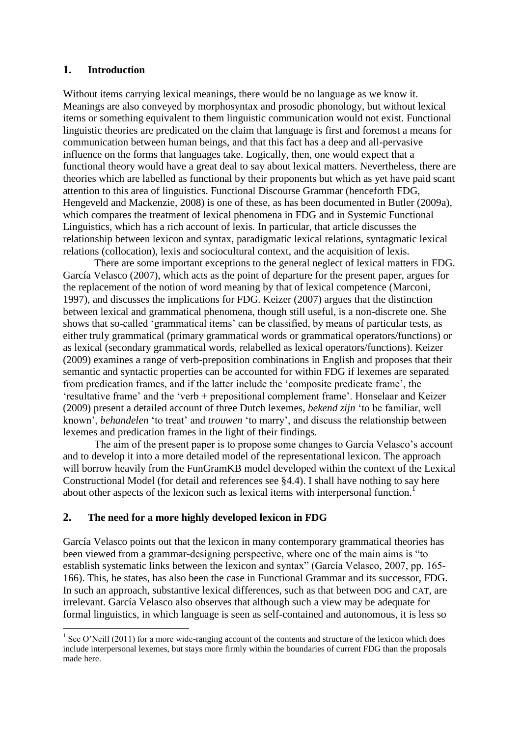## **1. Introduction**

1

Without items carrying lexical meanings, there would be no language as we know it. Meanings are also conveyed by morphosyntax and prosodic phonology, but without lexical items or something equivalent to them linguistic communication would not exist. Functional linguistic theories are predicated on the claim that language is first and foremost a means for communication between human beings, and that this fact has a deep and all-pervasive influence on the forms that languages take. Logically, then, one would expect that a functional theory would have a great deal to say about lexical matters. Nevertheless, there are theories which are labelled as functional by their proponents but which as yet have paid scant attention to this area of linguistics. Functional Discourse Grammar (henceforth FDG, Hengeveld and Mackenzie, 2008) is one of these, as has been documented in Butler (2009a), which compares the treatment of lexical phenomena in FDG and in Systemic Functional Linguistics, which has a rich account of lexis. In particular, that article discusses the relationship between lexicon and syntax, paradigmatic lexical relations, syntagmatic lexical relations (collocation), lexis and sociocultural context, and the acquisition of lexis.

There are some important exceptions to the general neglect of lexical matters in FDG. García Velasco (2007), which acts as the point of departure for the present paper, argues for the replacement of the notion of word meaning by that of lexical competence (Marconi, 1997), and discusses the implications for FDG. Keizer (2007) argues that the distinction between lexical and grammatical phenomena, though still useful, is a non-discrete one. She shows that so-called 'grammatical items' can be classified, by means of particular tests, as either truly grammatical (primary grammatical words or grammatical operators/functions) or as lexical (secondary grammatical words, relabelled as lexical operators/functions). Keizer (2009) examines a range of verb-preposition combinations in English and proposes that their semantic and syntactic properties can be accounted for within FDG if lexemes are separated from predication frames, and if the latter include the 'composite predicate frame', the 'resultative frame' and the 'verb + prepositional complement frame'. Honselaar and Keizer (2009) present a detailed account of three Dutch lexemes, *bekend zijn* 'to be familiar, well known', *behandelen* 'to treat' and *trouwen* 'to marry', and discuss the relationship between lexemes and predication frames in the light of their findings.

The aim of the present paper is to propose some changes to García Velasco's account and to develop it into a more detailed model of the representational lexicon. The approach will borrow heavily from the FunGramKB model developed within the context of the Lexical Constructional Model (for detail and references see §4.4). I shall have nothing to say here about other aspects of the lexicon such as lexical items with interpersonal function.<sup>1</sup>

## **2. The need for a more highly developed lexicon in FDG**

García Velasco points out that the lexicon in many contemporary grammatical theories has been viewed from a grammar-designing perspective, where one of the main aims is "to establish systematic links between the lexicon and syntax" (García Velasco, 2007, pp. 165- 166). This, he states, has also been the case in Functional Grammar and its successor, FDG. In such an approach, substantive lexical differences, such as that between DOG and CAT, are irrelevant. García Velasco also observes that although such a view may be adequate for formal linguistics, in which language is seen as self-contained and autonomous, it is less so

<sup>&</sup>lt;sup>1</sup> See O'Neill (2011) for a more wide-ranging account of the contents and structure of the lexicon which does include interpersonal lexemes, but stays more firmly within the boundaries of current FDG than the proposals made here.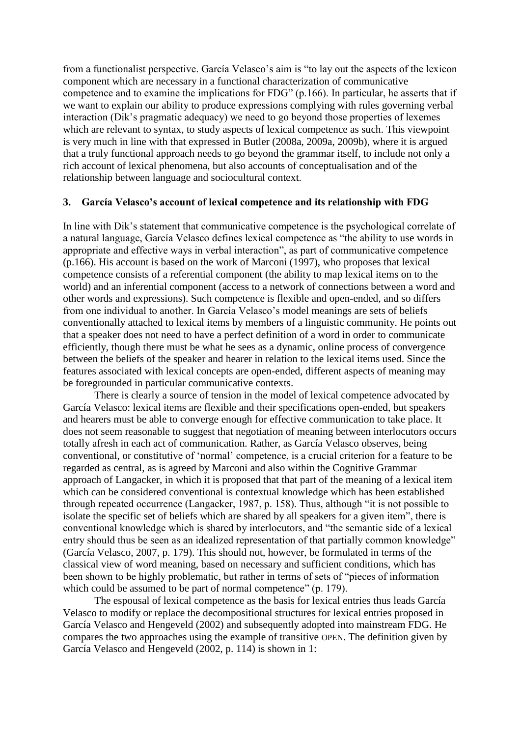from a functionalist perspective. García Velasco's aim is "to lay out the aspects of the lexicon component which are necessary in a functional characterization of communicative competence and to examine the implications for FDG" (p.166). In particular, he asserts that if we want to explain our ability to produce expressions complying with rules governing verbal interaction (Dik's pragmatic adequacy) we need to go beyond those properties of lexemes which are relevant to syntax, to study aspects of lexical competence as such. This viewpoint is very much in line with that expressed in Butler (2008a, 2009a, 2009b), where it is argued that a truly functional approach needs to go beyond the grammar itself, to include not only a rich account of lexical phenomena, but also accounts of conceptualisation and of the relationship between language and sociocultural context.

## **3. García Velasco's account of lexical competence and its relationship with FDG**

In line with Dik's statement that communicative competence is the psychological correlate of a natural language, García Velasco defines lexical competence as "the ability to use words in appropriate and effective ways in verbal interaction", as part of communicative competence (p.166). His account is based on the work of Marconi (1997), who proposes that lexical competence consists of a referential component (the ability to map lexical items on to the world) and an inferential component (access to a network of connections between a word and other words and expressions). Such competence is flexible and open-ended, and so differs from one individual to another. In García Velasco's model meanings are sets of beliefs conventionally attached to lexical items by members of a linguistic community. He points out that a speaker does not need to have a perfect definition of a word in order to communicate efficiently, though there must be what he sees as a dynamic, online process of convergence between the beliefs of the speaker and hearer in relation to the lexical items used. Since the features associated with lexical concepts are open-ended, different aspects of meaning may be foregrounded in particular communicative contexts.

There is clearly a source of tension in the model of lexical competence advocated by García Velasco: lexical items are flexible and their specifications open-ended, but speakers and hearers must be able to converge enough for effective communication to take place. It does not seem reasonable to suggest that negotiation of meaning between interlocutors occurs totally afresh in each act of communication. Rather, as García Velasco observes, being conventional, or constitutive of 'normal' competence, is a crucial criterion for a feature to be regarded as central, as is agreed by Marconi and also within the Cognitive Grammar approach of Langacker, in which it is proposed that that part of the meaning of a lexical item which can be considered conventional is contextual knowledge which has been established through repeated occurrence (Langacker, 1987, p. 158). Thus, although "it is not possible to isolate the specific set of beliefs which are shared by all speakers for a given item", there is conventional knowledge which is shared by interlocutors, and "the semantic side of a lexical entry should thus be seen as an idealized representation of that partially common knowledge" (García Velasco, 2007, p. 179). This should not, however, be formulated in terms of the classical view of word meaning, based on necessary and sufficient conditions, which has been shown to be highly problematic, but rather in terms of sets of "pieces of information which could be assumed to be part of normal competence" (p. 179).

The espousal of lexical competence as the basis for lexical entries thus leads García Velasco to modify or replace the decompositional structures for lexical entries proposed in García Velasco and Hengeveld (2002) and subsequently adopted into mainstream FDG. He compares the two approaches using the example of transitive OPEN. The definition given by García Velasco and Hengeveld (2002, p. 114) is shown in [1:](#page-4-0)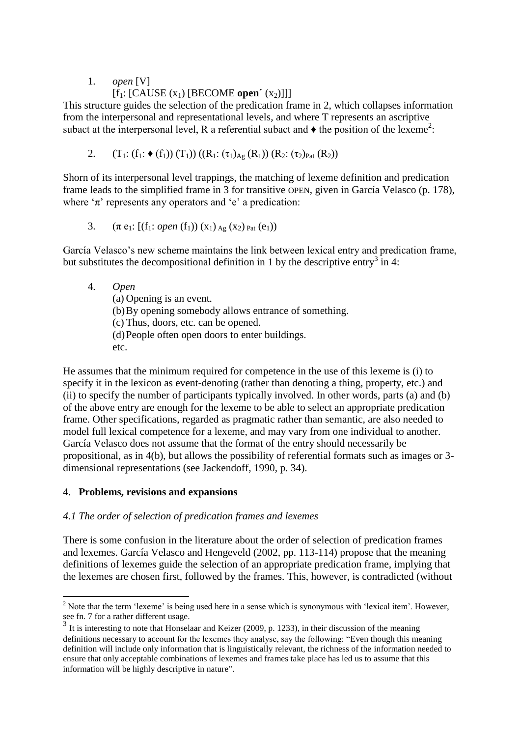1. *open* [V]

$$
[f_1: [CAUSE (x_1) [BECOMP open '(x_2)]]]
$$

<span id="page-4-0"></span>This structure guides the selection of the predication frame in [2,](#page-4-1) which collapses information from the interpersonal and representational levels, and where T represents an ascriptive subact at the interpersonal level, R a referential subact and  $\bullet$  the position of the lexeme<sup>2</sup>:

2.  $(T_1: (f_1: \mathbf{A}(f_1)) (T_1)) ((R_1: (\tau_1)_{Ag} (R_1)) (R_2: (\tau_2)_{Pat} (R_2)))$ 

<span id="page-4-1"></span>Shorn of its interpersonal level trappings, the matching of lexeme definition and predication frame leads to the simplified frame in [3](#page-4-2) for transitive OPEN, given in García Velasco (p. 178), where  $\pi$  represents any operators and 'e' a predication:

3. 
$$
(\pi e_1: [(f_1: open (f_1)) (x_1)_{Ag} (x_2)_{Pat} (e_1))
$$

<span id="page-4-2"></span>García Velasco's new scheme maintains the link between lexical entry and predication frame, but substitutes the decompositional definition in [1](#page-4-0) by the descriptive entry<sup>3</sup> in [4:](#page-4-3)

<span id="page-4-3"></span>4. *Open* (a) Opening is an event. (b)By opening somebody allows entrance of something. (c) Thus, doors, etc. can be opened. (d)People often open doors to enter buildings. etc.

He assumes that the minimum required for competence in the use of this lexeme is (i) to specify it in the lexicon as event-denoting (rather than denoting a thing, property, etc.) and (ii) to specify the number of participants typically involved. In other words, parts (a) and (b) of the above entry are enough for the lexeme to be able to select an appropriate predication frame. Other specifications, regarded as pragmatic rather than semantic, are also needed to model full lexical competence for a lexeme, and may vary from one individual to another. García Velasco does not assume that the format of the entry should necessarily be propositional, as in 4(b), but allows the possibility of referential formats such as images or 3 dimensional representations (see Jackendoff, 1990, p. 34).

## 4. **Problems, revisions and expansions**

## *4.1 The order of selection of predication frames and lexemes*

There is some confusion in the literature about the order of selection of predication frames and lexemes. García Velasco and Hengeveld (2002, pp. 113-114) propose that the meaning definitions of lexemes guide the selection of an appropriate predication frame, implying that the lexemes are chosen first, followed by the frames. This, however, is contradicted (without

<sup>1</sup> <sup>2</sup> Note that the term 'lexeme' is being used here in a sense which is synonymous with 'lexical item'. However, see fn. 7 for a rather different usage.

<sup>&</sup>lt;sup>3</sup> It is interesting to note that Honselaar and Keizer (2009, p. 1233), in their discussion of the meaning definitions necessary to account for the lexemes they analyse, say the following: "Even though this meaning definition will include only information that is linguistically relevant, the richness of the information needed to ensure that only acceptable combinations of lexemes and frames take place has led us to assume that this information will be highly descriptive in nature".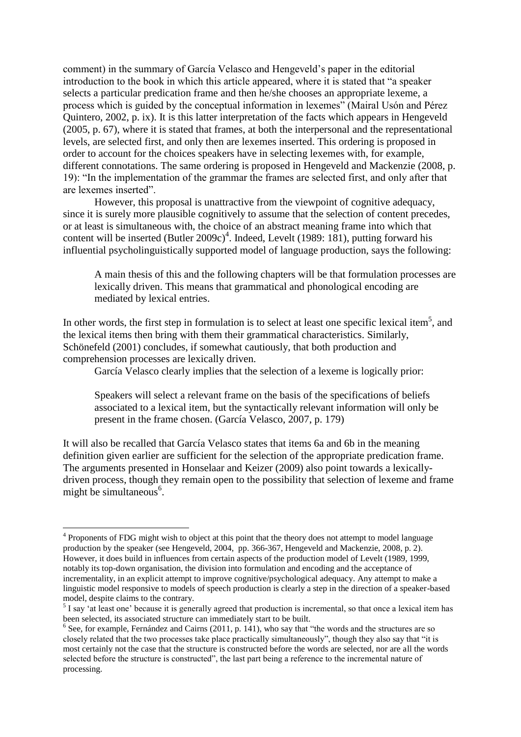comment) in the summary of García Velasco and Hengeveld's paper in the editorial introduction to the book in which this article appeared, where it is stated that "a speaker selects a particular predication frame and then he/she chooses an appropriate lexeme, a process which is guided by the conceptual information in lexemes" (Mairal Usón and Pérez Quintero, 2002, p. ix). It is this latter interpretation of the facts which appears in Hengeveld (2005, p. 67), where it is stated that frames, at both the interpersonal and the representational levels, are selected first, and only then are lexemes inserted. This ordering is proposed in order to account for the choices speakers have in selecting lexemes with, for example, different connotations. The same ordering is proposed in Hengeveld and Mackenzie (2008, p. 19): "In the implementation of the grammar the frames are selected first, and only after that are lexemes inserted".

However, this proposal is unattractive from the viewpoint of cognitive adequacy, since it is surely more plausible cognitively to assume that the selection of content precedes, or at least is simultaneous with, the choice of an abstract meaning frame into which that content will be inserted (Butler  $2009c$ )<sup>4</sup>. Indeed, Levelt (1989: 181), putting forward his influential psycholinguistically supported model of language production, says the following:

A main thesis of this and the following chapters will be that formulation processes are lexically driven. This means that grammatical and phonological encoding are mediated by lexical entries.

In other words, the first step in formulation is to select at least one specific lexical item<sup>5</sup>, and the lexical items then bring with them their grammatical characteristics. Similarly, Schönefeld (2001) concludes, if somewhat cautiously, that both production and comprehension processes are lexically driven.

García Velasco clearly implies that the selection of a lexeme is logically prior:

Speakers will select a relevant frame on the basis of the specifications of beliefs associated to a lexical item, but the syntactically relevant information will only be present in the frame chosen. (García Velasco, 2007, p. 179)

It will also be recalled that García Velasco states that items 6a and 6b in the meaning definition given earlier are sufficient for the selection of the appropriate predication frame. The arguments presented in Honselaar and Keizer (2009) also point towards a lexicallydriven process, though they remain open to the possibility that selection of lexeme and frame might be simultaneous<sup>6</sup>.

1

<sup>&</sup>lt;sup>4</sup> Proponents of FDG might wish to object at this point that the theory does not attempt to model language production by the speaker (see Hengeveld, 2004, pp. 366-367, Hengeveld and Mackenzie, 2008, p. 2). However, it does build in influences from certain aspects of the production model of Levelt (1989, 1999, notably its top-down organisation, the division into formulation and encoding and the acceptance of incrementality, in an explicit attempt to improve cognitive/psychological adequacy. Any attempt to make a linguistic model responsive to models of speech production is clearly a step in the direction of a speaker-based model, despite claims to the contrary.

<sup>&</sup>lt;sup>5</sup> I say 'at least one' because it is generally agreed that production is incremental, so that once a lexical item has been selected, its associated structure can immediately start to be built.

 $6$  See, for example, Fernández and Cairns (2011, p. 141), who say that "the words and the structures are so closely related that the two processes take place practically simultaneously", though they also say that "it is most certainly not the case that the structure is constructed before the words are selected, nor are all the words selected before the structure is constructed", the last part being a reference to the incremental nature of processing.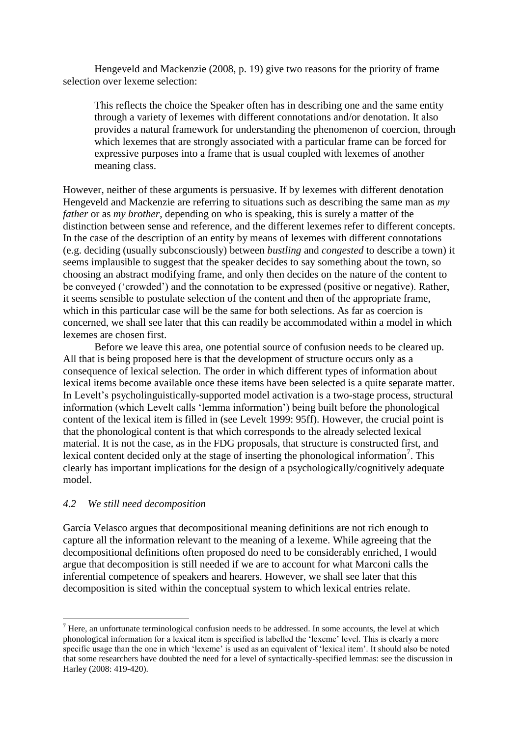Hengeveld and Mackenzie (2008, p. 19) give two reasons for the priority of frame selection over lexeme selection:

This reflects the choice the Speaker often has in describing one and the same entity through a variety of lexemes with different connotations and/or denotation. It also provides a natural framework for understanding the phenomenon of coercion, through which lexemes that are strongly associated with a particular frame can be forced for expressive purposes into a frame that is usual coupled with lexemes of another meaning class.

However, neither of these arguments is persuasive. If by lexemes with different denotation Hengeveld and Mackenzie are referring to situations such as describing the same man as *my father* or as *my brother*, depending on who is speaking, this is surely a matter of the distinction between sense and reference, and the different lexemes refer to different concepts. In the case of the description of an entity by means of lexemes with different connotations (e.g. deciding (usually subconsciously) between *bustling* and *congested* to describe a town) it seems implausible to suggest that the speaker decides to say something about the town, so choosing an abstract modifying frame, and only then decides on the nature of the content to be conveyed ('crowded') and the connotation to be expressed (positive or negative). Rather, it seems sensible to postulate selection of the content and then of the appropriate frame, which in this particular case will be the same for both selections. As far as coercion is concerned, we shall see later that this can readily be accommodated within a model in which lexemes are chosen first.

Before we leave this area, one potential source of confusion needs to be cleared up. All that is being proposed here is that the development of structure occurs only as a consequence of lexical selection. The order in which different types of information about lexical items become available once these items have been selected is a quite separate matter. In Levelt's psycholinguistically-supported model activation is a two-stage process, structural information (which Levelt calls 'lemma information') being built before the phonological content of the lexical item is filled in (see Levelt 1999: 95ff). However, the crucial point is that the phonological content is that which corresponds to the already selected lexical material. It is not the case, as in the FDG proposals, that structure is constructed first, and lexical content decided only at the stage of inserting the phonological information<sup>7</sup>. This clearly has important implications for the design of a psychologically/cognitively adequate model.

## *4.2 We still need decomposition*

<u>.</u>

García Velasco argues that decompositional meaning definitions are not rich enough to capture all the information relevant to the meaning of a lexeme. While agreeing that the decompositional definitions often proposed do need to be considerably enriched, I would argue that decomposition is still needed if we are to account for what Marconi calls the inferential competence of speakers and hearers. However, we shall see later that this decomposition is sited within the conceptual system to which lexical entries relate.

<sup>&</sup>lt;sup>7</sup> Here, an unfortunate terminological confusion needs to be addressed. In some accounts, the level at which phonological information for a lexical item is specified is labelled the 'lexeme' level. This is clearly a more specific usage than the one in which 'lexeme' is used as an equivalent of 'lexical item'. It should also be noted that some researchers have doubted the need for a level of syntactically-specified lemmas: see the discussion in Harley (2008: 419-420).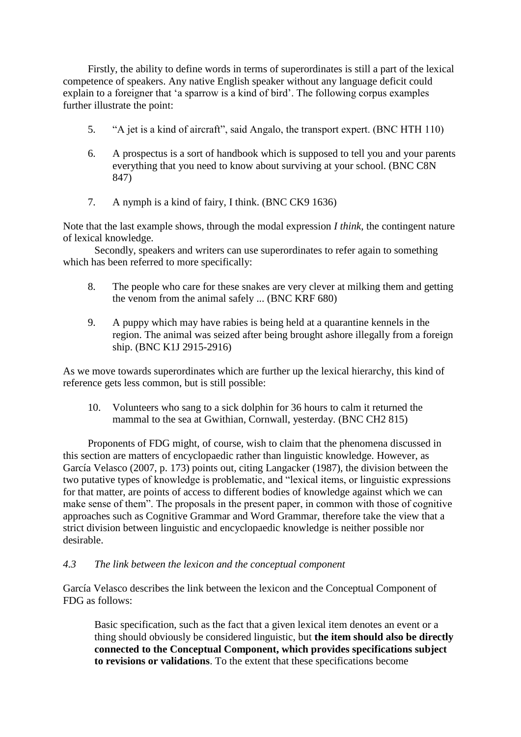Firstly, the ability to define words in terms of superordinates is still a part of the lexical competence of speakers. Any native English speaker without any language deficit could explain to a foreigner that 'a sparrow is a kind of bird'. The following corpus examples further illustrate the point:

- 5. "A jet is a kind of aircraft", said Angalo, the transport expert. (BNC HTH 110)
- 6. A prospectus is a sort of handbook which is supposed to tell you and your parents everything that you need to know about surviving at your school. (BNC C8N 847)
- 7. A nymph is a kind of fairy, I think. (BNC CK9 1636)

Note that the last example shows, through the modal expression *I think*, the contingent nature of lexical knowledge.

Secondly, speakers and writers can use superordinates to refer again to something which has been referred to more specifically:

- 8. The people who care for these snakes are very clever at milking them and getting the venom from the animal safely ... (BNC KRF 680)
- 9. A puppy which may have rabies is being held at a quarantine kennels in the region. The animal was seized after being brought ashore illegally from a foreign ship. (BNC K1J 2915-2916)

As we move towards superordinates which are further up the lexical hierarchy, this kind of reference gets less common, but is still possible:

10. Volunteers who sang to a sick dolphin for 36 hours to calm it returned the mammal to the sea at Gwithian, Cornwall, yesterday. (BNC CH2 815)

Proponents of FDG might, of course, wish to claim that the phenomena discussed in this section are matters of encyclopaedic rather than linguistic knowledge. However, as García Velasco (2007, p. 173) points out, citing Langacker (1987), the division between the two putative types of knowledge is problematic, and "lexical items, or linguistic expressions for that matter, are points of access to different bodies of knowledge against which we can make sense of them". The proposals in the present paper, in common with those of cognitive approaches such as Cognitive Grammar and Word Grammar, therefore take the view that a strict division between linguistic and encyclopaedic knowledge is neither possible nor desirable.

## *4.3 The link between the lexicon and the conceptual component*

García Velasco describes the link between the lexicon and the Conceptual Component of FDG as follows:

Basic specification, such as the fact that a given lexical item denotes an event or a thing should obviously be considered linguistic, but **the item should also be directly connected to the Conceptual Component, which provides specifications subject to revisions or validations**. To the extent that these specifications become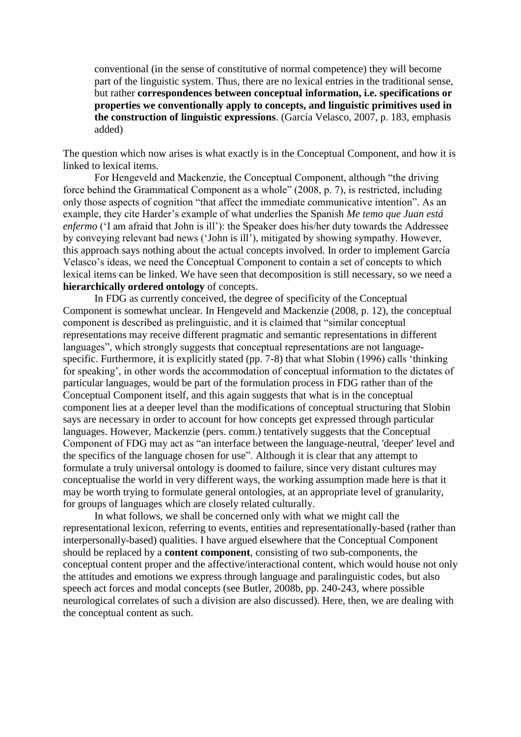conventional (in the sense of constitutive of normal competence) they will become part of the linguistic system. Thus, there are no lexical entries in the traditional sense, but rather **correspondences between conceptual information, i.e. specifications or properties we conventionally apply to concepts, and linguistic primitives used in the construction of linguistic expressions**. (García Velasco, 2007, p. 183, emphasis added)

The question which now arises is what exactly is in the Conceptual Component, and how it is linked to lexical items.

For Hengeveld and Mackenzie, the Conceptual Component, although "the driving force behind the Grammatical Component as a whole" (2008, p. 7), is restricted, including only those aspects of cognition "that affect the immediate communicative intention". As an example, they cite Harder's example of what underlies the Spanish *Me temo que Juan está enfermo* ('I am afraid that John is ill'): the Speaker does his/her duty towards the Addressee by conveying relevant bad news ('John is ill'), mitigated by showing sympathy. However, this approach says nothing about the actual concepts involved. In order to implement García Velasco's ideas, we need the Conceptual Component to contain a set of concepts to which lexical items can be linked. We have seen that decomposition is still necessary, so we need a **hierarchically ordered ontology** of concepts.

In FDG as currently conceived, the degree of specificity of the Conceptual Component is somewhat unclear. In Hengeveld and Mackenzie (2008, p. 12), the conceptual component is described as prelinguistic, and it is claimed that "similar conceptual representations may receive different pragmatic and semantic representations in different languages", which strongly suggests that conceptual representations are not languagespecific. Furthermore, it is explicitly stated (pp. 7-8) that what Slobin (1996) calls 'thinking for speaking', in other words the accommodation of conceptual information to the dictates of particular languages, would be part of the formulation process in FDG rather than of the Conceptual Component itself, and this again suggests that what is in the conceptual component lies at a deeper level than the modifications of conceptual structuring that Slobin says are necessary in order to account for how concepts get expressed through particular languages. However, Mackenzie (pers. comm.) tentatively suggests that the Conceptual Component of FDG may act as "an interface between the language-neutral, 'deeper' level and the specifics of the language chosen for use". Although it is clear that any attempt to formulate a truly universal ontology is doomed to failure, since very distant cultures may conceptualise the world in very different ways, the working assumption made here is that it may be worth trying to formulate general ontologies, at an appropriate level of granularity, for groups of languages which are closely related culturally.

In what follows, we shall be concerned only with what we might call the representational lexicon, referring to events, entities and representationally-based (rather than interpersonally-based) qualities. I have argued elsewhere that the Conceptual Component should be replaced by a **content component**, consisting of two sub-components, the conceptual content proper and the affective/interactional content, which would house not only the attitudes and emotions we express through language and paralinguistic codes, but also speech act forces and modal concepts (see Butler, 2008b, pp. 240-243, where possible neurological correlates of such a division are also discussed). Here, then, we are dealing with the conceptual content as such.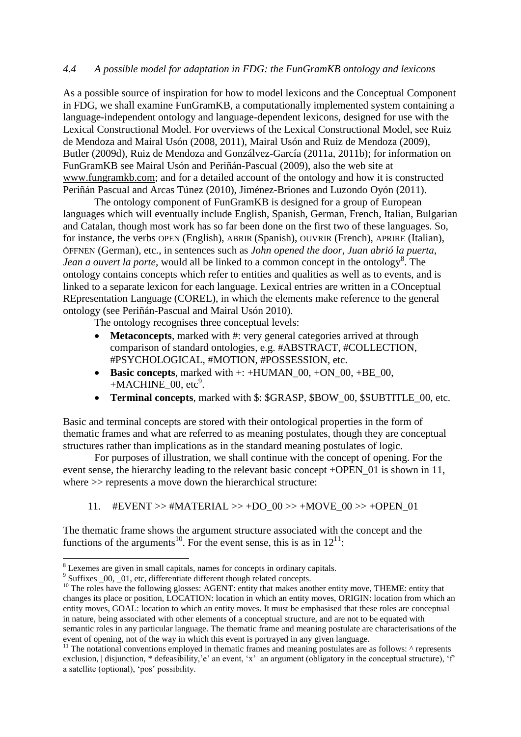## *4.4 A possible model for adaptation in FDG: the FunGramKB ontology and lexicons*

As a possible source of inspiration for how to model lexicons and the Conceptual Component in FDG, we shall examine FunGramKB, a computationally implemented system containing a language-independent ontology and language-dependent lexicons, designed for use with the Lexical Constructional Model. For overviews of the Lexical Constructional Model, see Ruiz de Mendoza and Mairal Usón (2008, 2011), Mairal Usón and Ruiz de Mendoza (2009), Butler (2009d), Ruiz de Mendoza and Gonzálvez-García (2011a, 2011b); for information on FunGramKB see Mairal Usón and Periñán-Pascual (2009), also the web site at [www.fungramkb.com;](http://www.fungramkb.com/) and for a detailed account of the ontology and how it is constructed Periñán Pascual and Arcas Túnez (2010), Jiménez-Briones and Luzondo Oyón (2011).

The ontology component of FunGramKB is designed for a group of European languages which will eventually include English, Spanish, German, French, Italian, Bulgarian and Catalan, though most work has so far been done on the first two of these languages. So, for instance, the verbs OPEN (English), ABRIR (Spanish), OUVRIR (French), APRIRE (Italian), ÖFFNEN (German), etc., in sentences such as *John opened the door*, *Juan abrió la puerta*, Jean a ouvert la porte, would all be linked to a common concept in the ontology<sup>8</sup>. The ontology contains concepts which refer to entities and qualities as well as to events, and is linked to a separate lexicon for each language. Lexical entries are written in a COnceptual REpresentation Language (COREL), in which the elements make reference to the general ontology (see Periñán-Pascual and Mairal Usón 2010).

The ontology recognises three conceptual levels:

- **Metaconcepts**, marked with #: very general categories arrived at through comparison of standard ontologies, e.g. #ABSTRACT, #COLLECTION, #PSYCHOLOGICAL, #MOTION, #POSSESSION, etc.
- **Basic concepts**, marked with  $+: +HUMAN$  00,  $+ON$  00,  $+BE$  00,  $+MACHINE_00$ , etc<sup>9</sup>.
- **Terminal concepts**, marked with \$: \$GRASP, \$BOW 00, \$SUBTITLE 00, etc.

Basic and terminal concepts are stored with their ontological properties in the form of thematic frames and what are referred to as meaning postulates, though they are conceptual structures rather than implications as in the standard meaning postulates of logic.

For purposes of illustration, we shall continue with the concept of opening. For the event sense, the hierarchy leading to the relevant basic concept +OPEN\_01 is shown in [11,](#page-9-0) where  $\gg$  represents a move down the hierarchical structure:

11. #EVENT >> #MATERIAL >> +DO  $00 \gg 100$  >> +OPEN 01

<span id="page-9-0"></span>The thematic frame shows the argument structure associated with the concept and the functions of the arguments<sup>10</sup>. For the event sense, this is as in  $12^{11}$ :

<u>.</u>

<sup>8</sup> Lexemes are given in small capitals, names for concepts in ordinary capitals.

<sup>&</sup>lt;sup>9</sup> Suffixes \_00, \_01, etc, differentiate different though related concepts.

<sup>&</sup>lt;sup>10</sup> The roles have the following glosses: AGENT: entity that makes another entity move, THEME: entity that changes its place or position, LOCATION: location in which an entity moves, ORIGIN: location from which an entity moves, GOAL: location to which an entity moves. It must be emphasised that these roles are conceptual in nature, being associated with other elements of a conceptual structure, and are not to be equated with semantic roles in any particular language. The thematic frame and meaning postulate are characterisations of the event of opening, not of the way in which this event is portrayed in any given language.

<sup>&</sup>lt;sup>11</sup> The notational conventions employed in thematic frames and meaning postulates are as follows:  $\land$  represents exclusion, | disjunction, \* defeasibility, 'e' an event, 'x' an argument (obligatory in the conceptual structure), 'f' a satellite (optional), 'pos' possibility.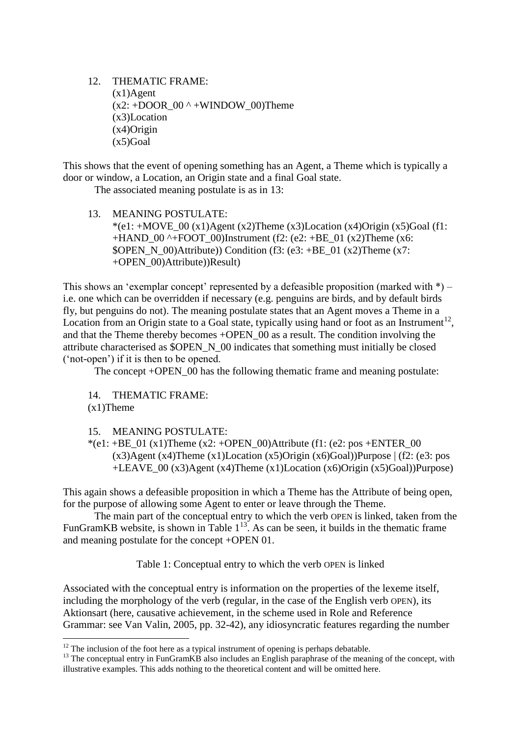<span id="page-10-0"></span>12. THEMATIC FRAME:  $(x1)$ Agent  $(x2: +DOOR_00^+ + WINDOW_00)$ Theme (x3)Location (x4)Origin  $(x5)$ Goal

This shows that the event of opening something has an Agent, a Theme which is typically a door or window, a Location, an Origin state and a final Goal state.

The associated meaning postulate is as in [13:](#page-10-1)

<span id="page-10-1"></span>13. MEANING POSTULATE: \*(e1: +MOVE\_00 (x1)Agent (x2)Theme (x3)Location (x4)Origin (x5)Goal (f1: +HAND\_00 ^+FOOT\_00)Instrument (f2: (e2: +BE\_01 (x2)Theme (x6:  $$OPEN_N_00$ )Attribute)) Condition (f3: (e3: +BE\_01 (x2)Theme (x7: +OPEN\_00)Attribute))Result)

This shows an 'exemplar concept' represented by a defeasible proposition (marked with  $*)$  – i.e. one which can be overridden if necessary (e.g. penguins are birds, and by default birds fly, but penguins do not). The meaning postulate states that an Agent moves a Theme in a Location from an Origin state to a Goal state, typically using hand or foot as an Instrument<sup>12</sup>, and that the Theme thereby becomes +OPEN\_00 as a result. The condition involving the attribute characterised as \$OPEN\_N\_00 indicates that something must initially be closed ('not-open') if it is then to be opened.

The concept +OPEN\_00 has the following thematic frame and meaning postulate:

14. THEMATIC FRAME:  $(x1)$ Theme

<u>.</u>

15. MEANING POSTULATE:

 $*(e1: +BE_01 (x1)$ Theme  $(x2: +OPEN_00)$ Attribute (f1: (e2: pos +ENTER\_00)  $(x3)$ Agent  $(x4)$ Theme  $(x1)$ Location  $(x5)$ Origin  $(x6)$ Goal))Purpose | (f2: (e3: pos +LEAVE\_00 (x3)Agent (x4)Theme (x1)Location (x6)Origin (x5)Goal))Purpose)

This again shows a defeasible proposition in which a Theme has the Attribute of being open, for the purpose of allowing some Agent to enter or leave through the Theme.

The main part of the conceptual entry to which the verb OPEN is linked, taken from the FunGramKB website, is shown in Table  $1^{13}$ . As can be seen, it builds in the thematic frame and meaning postulate for the concept +OPEN 01.

Table 1: Conceptual entry to which the verb OPEN is linked

Associated with the conceptual entry is information on the properties of the lexeme itself, including the morphology of the verb (regular, in the case of the English verb OPEN), its Aktionsart (here, causative achievement, in the scheme used in Role and Reference Grammar: see Van Valin, 2005, pp. 32-42), any idiosyncratic features regarding the number

 $12$  The inclusion of the foot here as a typical instrument of opening is perhaps debatable.

<sup>&</sup>lt;sup>13</sup> The conceptual entry in FunGramKB also includes an English paraphrase of the meaning of the concept, with illustrative examples. This adds nothing to the theoretical content and will be omitted here.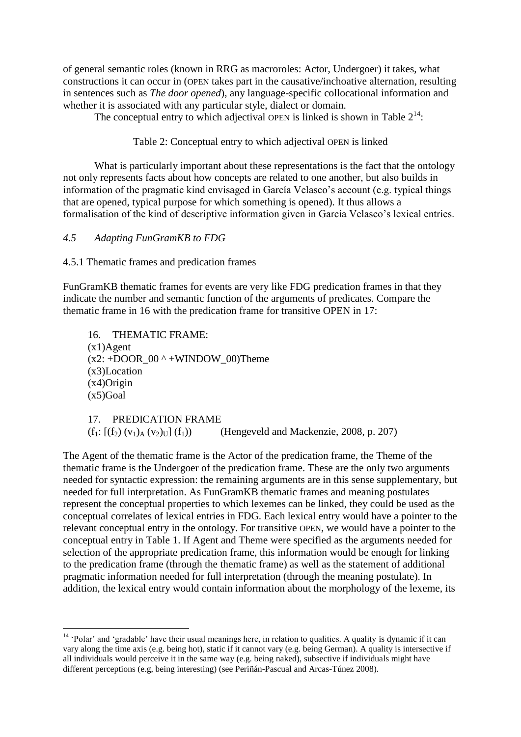of general semantic roles (known in RRG as macroroles: Actor, Undergoer) it takes, what constructions it can occur in (OPEN takes part in the causative/inchoative alternation, resulting in sentences such as *The door opened*), any language-specific collocational information and whether it is associated with any particular style, dialect or domain.

The conceptual entry to which adjectival OPEN is linked is shown in Table  $2^{14}$ :

Table 2: Conceptual entry to which adjectival OPEN is linked

What is particularly important about these representations is the fact that the ontology not only represents facts about how concepts are related to one another, but also builds in information of the pragmatic kind envisaged in García Velasco's account (e.g. typical things that are opened, typical purpose for which something is opened). It thus allows a formalisation of the kind of descriptive information given in García Velasco's lexical entries.

#### *4.5 Adapting FunGramKB to FDG*

1

4.5.1 Thematic frames and predication frames

FunGramKB thematic frames for events are very like FDG predication frames in that they indicate the number and semantic function of the arguments of predicates. Compare the thematic frame in [16](#page-11-0) with the predication frame for transitive OPEN in [17:](#page-11-1)

<span id="page-11-0"></span>16. THEMATIC FRAME: (x1)Agent  $(x2: +DOOR$  00 ^ +WINDOW 00)Theme (x3)Location (x4)Origin  $(x5)$ Goal

<span id="page-11-1"></span>17. PREDICATION FRAME  $(f_1: [(f_2) (v_1)_A (v_2)_U] (f_1))$  (Hengeveld and Mackenzie, 2008, p. 207)

The Agent of the thematic frame is the Actor of the predication frame, the Theme of the thematic frame is the Undergoer of the predication frame. These are the only two arguments needed for syntactic expression: the remaining arguments are in this sense supplementary, but needed for full interpretation. As FunGramKB thematic frames and meaning postulates represent the conceptual properties to which lexemes can be linked, they could be used as the conceptual correlates of lexical entries in FDG. Each lexical entry would have a pointer to the relevant conceptual entry in the ontology. For transitive OPEN, we would have a pointer to the conceptual entry in Table 1. If Agent and Theme were specified as the arguments needed for selection of the appropriate predication frame, this information would be enough for linking to the predication frame (through the thematic frame) as well as the statement of additional pragmatic information needed for full interpretation (through the meaning postulate). In addition, the lexical entry would contain information about the morphology of the lexeme, its

 $14$  'Polar' and 'gradable' have their usual meanings here, in relation to qualities. A quality is dynamic if it can vary along the time axis (e.g. being hot), static if it cannot vary (e.g. being German). A quality is intersective if all individuals would perceive it in the same way (e.g. being naked), subsective if individuals might have different perceptions (e.g, being interesting) (see Periñán-Pascual and Arcas-Túnez 2008).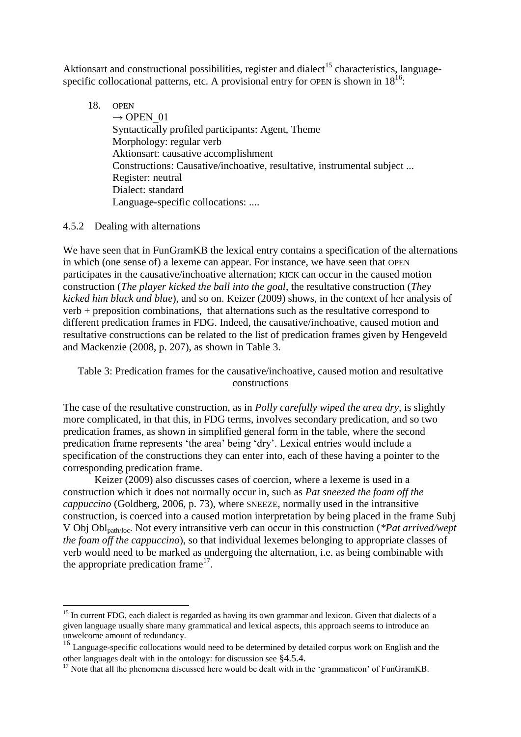Aktionsart and constructional possibilities, register and dialect<sup>15</sup> characteristics, languagespecific collocational patterns, etc. A provisional entry for OPEN is shown in  $18^{16}$ .

<span id="page-12-0"></span>18. OPEN  $\rightarrow$  OPEN 01 Syntactically profiled participants: Agent, Theme Morphology: regular verb Aktionsart: causative accomplishment Constructions: Causative/inchoative, resultative, instrumental subject ... Register: neutral Dialect: standard Language-specific collocations: ....

#### 4.5.2 Dealing with alternations

<u>.</u>

We have seen that in FunGramKB the lexical entry contains a specification of the alternations in which (one sense of) a lexeme can appear. For instance, we have seen that OPEN participates in the causative/inchoative alternation; KICK can occur in the caused motion construction (*The player kicked the ball into the goal*, the resultative construction (*They kicked him black and blue*), and so on. Keizer (2009) shows, in the context of her analysis of verb + preposition combinations, that alternations such as the resultative correspond to different predication frames in FDG. Indeed, the causative/inchoative, caused motion and resultative constructions can be related to the list of predication frames given by Hengeveld and Mackenzie (2008, p. 207), as shown in Table 3.

Table 3: Predication frames for the causative/inchoative, caused motion and resultative constructions

The case of the resultative construction, as in *Polly carefully wiped the area dry*, is slightly more complicated, in that this, in FDG terms, involves secondary predication, and so two predication frames, as shown in simplified general form in the table, where the second predication frame represents 'the area' being 'dry'. Lexical entries would include a specification of the constructions they can enter into, each of these having a pointer to the corresponding predication frame.

Keizer (2009) also discusses cases of coercion, where a lexeme is used in a construction which it does not normally occur in, such as *Pat sneezed the foam off the cappuccino* (Goldberg, 2006, p. 73), where SNEEZE, normally used in the intransitive construction, is coerced into a caused motion interpretation by being placed in the frame Subj V Obj Oblpath/loc. Not every intransitive verb can occur in this construction (*\*Pat arrived/wept the foam off the cappuccino*), so that individual lexemes belonging to appropriate classes of verb would need to be marked as undergoing the alternation, i.e. as being combinable with the appropriate predication frame  $17$ .

<sup>&</sup>lt;sup>15</sup> In current FDG, each dialect is regarded as having its own grammar and lexicon. Given that dialects of a given language usually share many grammatical and lexical aspects, this approach seems to introduce an unwelcome amount of redundancy.

<sup>&</sup>lt;sup>16</sup> Language-specific collocations would need to be determined by detailed corpus work on English and the other languages dealt with in the ontology: for discussion see §4.5.4.

<sup>&</sup>lt;sup>17</sup> Note that all the phenomena discussed here would be dealt with in the 'grammaticon' of FunGramKB.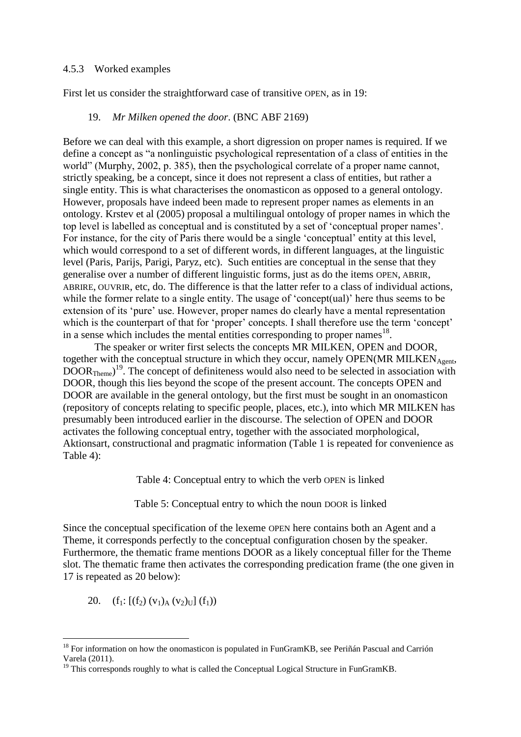#### 4.5.3 Worked examples

<span id="page-13-0"></span>First let us consider the straightforward case of transitive OPEN, as in [19:](#page-13-0)

#### 19. *Mr Milken opened the door*. (BNC ABF 2169)

Before we can deal with this example, a short digression on proper names is required. If we define a concept as "a nonlinguistic psychological representation of a class of entities in the world" (Murphy, 2002, p. 385), then the psychological correlate of a proper name cannot, strictly speaking, be a concept, since it does not represent a class of entities, but rather a single entity. This is what characterises the onomasticon as opposed to a general ontology. However, proposals have indeed been made to represent proper names as elements in an ontology. Krstev et al (2005) proposal a multilingual ontology of proper names in which the top level is labelled as conceptual and is constituted by a set of 'conceptual proper names'. For instance, for the city of Paris there would be a single 'conceptual' entity at this level, which would correspond to a set of different words, in different languages, at the linguistic level (Paris, Parijs, Parigi, Paryz, etc). Such entities are conceptual in the sense that they generalise over a number of different linguistic forms, just as do the items OPEN, ABRIR, ABRIRE, OUVRIR, etc, do. The difference is that the latter refer to a class of individual actions, while the former relate to a single entity. The usage of 'concept(ual)' here thus seems to be extension of its 'pure' use. However, proper names do clearly have a mental representation which is the counterpart of that for 'proper' concepts. I shall therefore use the term 'concept' in a sense which includes the mental entities corresponding to proper names $^{18}$ .

The speaker or writer first selects the concepts MR MILKEN, OPEN and DOOR, together with the conceptual structure in which they occur, namely OPEN(MR MILKEN<sub>Agent</sub>, DOOR<sub>Theme</sub>)<sup>19</sup>. The concept of definiteness would also need to be selected in association with DOOR, though this lies beyond the scope of the present account. The concepts OPEN and DOOR are available in the general ontology, but the first must be sought in an onomasticon (repository of concepts relating to specific people, places, etc.), into which MR MILKEN has presumably been introduced earlier in the discourse. The selection of OPEN and DOOR activates the following conceptual entry, together with the associated morphological, Aktionsart, constructional and pragmatic information (Table 1 is repeated for convenience as Table 4):

Table 4: Conceptual entry to which the verb OPEN is linked

Table 5: Conceptual entry to which the noun DOOR is linked

Since the conceptual specification of the lexeme OPEN here contains both an Agent and a Theme, it corresponds perfectly to the conceptual configuration chosen by the speaker. Furthermore, the thematic frame mentions DOOR as a likely conceptual filler for the Theme slot. The thematic frame then activates the corresponding predication frame (the one given in [17](#page-11-1) is repeated as [20](#page-13-1) below):

<span id="page-13-1"></span>20. 
$$
(f_1: [(f_2) (v_1)_A (v_2)_U] (f_1))
$$

<u>.</u>

 $18$  For information on how the onomasticon is populated in FunGramKB, see Periñán Pascual and Carrión Varela (2011).

<sup>&</sup>lt;sup>19</sup> This corresponds roughly to what is called the Conceptual Logical Structure in FunGramKB.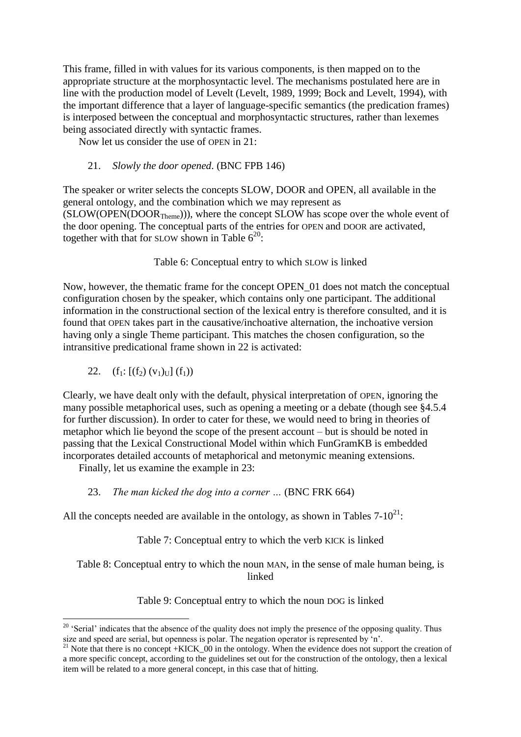This frame, filled in with values for its various components, is then mapped on to the appropriate structure at the morphosyntactic level. The mechanisms postulated here are in line with the production model of Levelt (Levelt, 1989, 1999; Bock and Levelt, 1994), with the important difference that a layer of language-specific semantics (the predication frames) is interposed between the conceptual and morphosyntactic structures, rather than lexemes being associated directly with syntactic frames.

Now let us consider the use of OPEN in [21:](#page-14-0)

21. *Slowly the door opened*. (BNC FPB 146)

<span id="page-14-0"></span>The speaker or writer selects the concepts SLOW, DOOR and OPEN, all available in the general ontology, and the combination which we may represent as (SLOW(OPEN(DOORTheme))), where the concept SLOW has scope over the whole event of the door opening. The conceptual parts of the entries for OPEN and DOOR are activated, together with that for SLOW shown in Table  $6^{20}$ :

Table 6: Conceptual entry to which SLOW is linked

Now, however, the thematic frame for the concept OPEN\_01 does not match the conceptual configuration chosen by the speaker, which contains only one participant. The additional information in the constructional section of the lexical entry is therefore consulted, and it is found that OPEN takes part in the causative/inchoative alternation, the inchoative version having only a single Theme participant. This matches the chosen configuration, so the intransitive predicational frame shown in [22](#page-14-1) is activated:

22.  $(f_1: [(f_2) (v_1)_U] (f_1))$ 

<span id="page-14-1"></span>Clearly, we have dealt only with the default, physical interpretation of OPEN, ignoring the many possible metaphorical uses, such as opening a meeting or a debate (though see §4.5.4 for further discussion). In order to cater for these, we would need to bring in theories of metaphor which lie beyond the scope of the present account – but is should be noted in passing that the Lexical Constructional Model within which FunGramKB is embedded incorporates detailed accounts of metaphorical and metonymic meaning extensions.

Finally, let us examine the example in [23:](#page-14-2)

## 23. *The man kicked the dog into a corner …* (BNC FRK 664)

<span id="page-14-2"></span>All the concepts needed are available in the ontology, as shown in Tables  $7-10^{21}$ :

Table 7: Conceptual entry to which the verb KICK is linked

## Table 8: Conceptual entry to which the noun MAN, in the sense of male human being, is linked

Table 9: Conceptual entry to which the noun DOG is linked

<sup>&</sup>lt;u>.</u>  $20$  'Serial' indicates that the absence of the quality does not imply the presence of the opposing quality. Thus size and speed are serial, but openness is polar. The negation operator is represented by 'n'.

<sup>&</sup>lt;sup>21</sup> Note that there is no concept +KICK\_00 in the ontology. When the evidence does not support the creation of a more specific concept, according to the guidelines set out for the construction of the ontology, then a lexical item will be related to a more general concept, in this case that of hitting.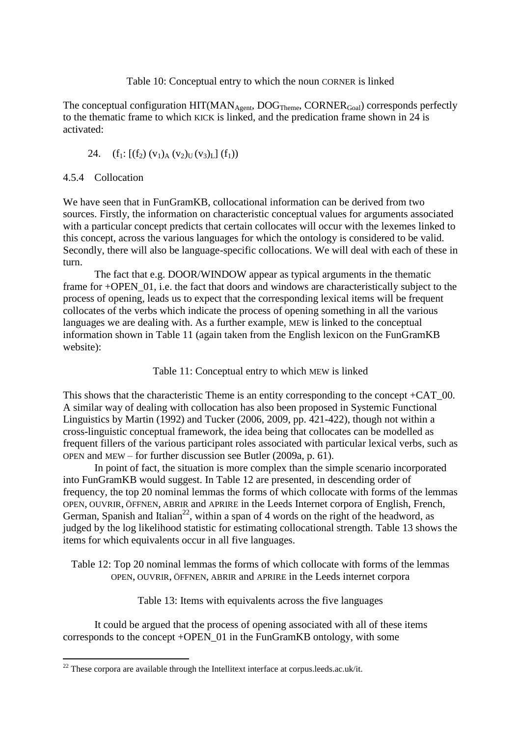Table 10: Conceptual entry to which the noun CORNER is linked

The conceptual configuration  $HIT(MAN<sub>Agent</sub>, DOG<sub>Theme</sub>, CORNER<sub>Goal</sub>)$  corresponds perfectly to the thematic frame to which KICK is linked, and the predication frame shown in [24](#page-15-0) is activated:

## 24.  $(f_1: [(f_2) (v_1)_A (v_2)_{U}(v_3)_L](f_1))$

## <span id="page-15-0"></span>4.5.4 Collocation

1

We have seen that in FunGramKB, collocational information can be derived from two sources. Firstly, the information on characteristic conceptual values for arguments associated with a particular concept predicts that certain collocates will occur with the lexemes linked to this concept, across the various languages for which the ontology is considered to be valid. Secondly, there will also be language-specific collocations. We will deal with each of these in turn.

The fact that e.g. DOOR/WINDOW appear as typical arguments in the thematic frame for +OPEN 01, i.e. the fact that doors and windows are characteristically subject to the process of opening, leads us to expect that the corresponding lexical items will be frequent collocates of the verbs which indicate the process of opening something in all the various languages we are dealing with. As a further example, MEW is linked to the conceptual information shown in Table 11 (again taken from the English lexicon on the FunGramKB website):

Table 11: Conceptual entry to which MEW is linked

This shows that the characteristic Theme is an entity corresponding to the concept +CAT\_00. A similar way of dealing with collocation has also been proposed in Systemic Functional Linguistics by Martin (1992) and Tucker (2006, 2009, pp. 421-422), though not within a cross-linguistic conceptual framework, the idea being that collocates can be modelled as frequent fillers of the various participant roles associated with particular lexical verbs, such as OPEN and MEW – for further discussion see Butler (2009a, p. 61).

In point of fact, the situation is more complex than the simple scenario incorporated into FunGramKB would suggest. In Table 12 are presented, in descending order of frequency, the top 20 nominal lemmas the forms of which collocate with forms of the lemmas OPEN, OUVRIR, ÖFFNEN, ABRIR and APRIRE in the Leeds Internet corpora of English, French, German, Spanish and Italian<sup>22</sup>, within a span of 4 words on the right of the headword, as judged by the log likelihood statistic for estimating collocational strength. Table 13 shows the items for which equivalents occur in all five languages.

Table 12: Top 20 nominal lemmas the forms of which collocate with forms of the lemmas OPEN, OUVRIR, ÖFFNEN, ABRIR and APRIRE in the Leeds internet corpora

Table 13: Items with equivalents across the five languages

It could be argued that the process of opening associated with all of these items corresponds to the concept +OPEN\_01 in the FunGramKB ontology, with some

 $22$  These corpora are available through the Intellitext interface at corpus. leeds. ac. uk/it.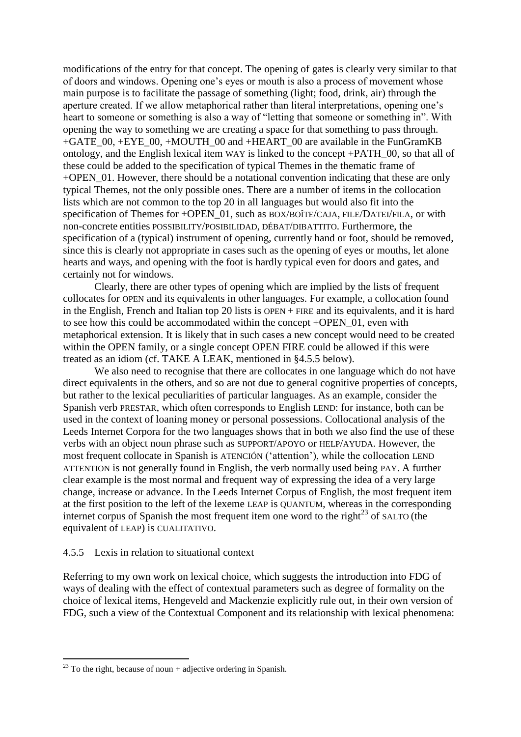modifications of the entry for that concept. The opening of gates is clearly very similar to that of doors and windows. Opening one's eyes or mouth is also a process of movement whose main purpose is to facilitate the passage of something (light; food, drink, air) through the aperture created. If we allow metaphorical rather than literal interpretations, opening one's heart to someone or something is also a way of "letting that someone or something in". With opening the way to something we are creating a space for that something to pass through. +GATE\_00, +EYE\_00, +MOUTH\_00 and +HEART\_00 are available in the FunGramKB ontology, and the English lexical item WAY is linked to the concept +PATH\_00, so that all of these could be added to the specification of typical Themes in the thematic frame of +OPEN\_01. However, there should be a notational convention indicating that these are only typical Themes, not the only possible ones. There are a number of items in the collocation lists which are not common to the top 20 in all languages but would also fit into the specification of Themes for +OPEN 01, such as BOX/BOÎTE/CAJA, FILE/DATEI/FILA, or with non-concrete entities POSSIBILITY/POSIBILIDAD, DÉBAT/DIBATTITO. Furthermore, the specification of a (typical) instrument of opening, currently hand or foot, should be removed, since this is clearly not appropriate in cases such as the opening of eyes or mouths, let alone hearts and ways, and opening with the foot is hardly typical even for doors and gates, and certainly not for windows.

Clearly, there are other types of opening which are implied by the lists of frequent collocates for OPEN and its equivalents in other languages. For example, a collocation found in the English, French and Italian top 20 lists is OPEN + FIRE and its equivalents, and it is hard to see how this could be accommodated within the concept +OPEN\_01, even with metaphorical extension. It is likely that in such cases a new concept would need to be created within the OPEN family, or a single concept OPEN FIRE could be allowed if this were treated as an idiom (cf. TAKE A LEAK, mentioned in §4.5.5 below).

We also need to recognise that there are collocates in one language which do not have direct equivalents in the others, and so are not due to general cognitive properties of concepts, but rather to the lexical peculiarities of particular languages. As an example, consider the Spanish verb PRESTAR, which often corresponds to English LEND: for instance, both can be used in the context of loaning money or personal possessions. Collocational analysis of the Leeds Internet Corpora for the two languages shows that in both we also find the use of these verbs with an object noun phrase such as SUPPORT/APOYO or HELP/AYUDA. However, the most frequent collocate in Spanish is ATENCIÓN ('attention'), while the collocation LEND ATTENTION is not generally found in English, the verb normally used being PAY. A further clear example is the most normal and frequent way of expressing the idea of a very large change, increase or advance. In the Leeds Internet Corpus of English, the most frequent item at the first position to the left of the lexeme LEAP is QUANTUM, whereas in the corresponding internet corpus of Spanish the most frequent item one word to the right<sup>23</sup> of SALTO (the equivalent of LEAP) is CUALITATIVO.

#### 4.5.5 Lexis in relation to situational context

Referring to my own work on lexical choice, which suggests the introduction into FDG of ways of dealing with the effect of contextual parameters such as degree of formality on the choice of lexical items, Hengeveld and Mackenzie explicitly rule out, in their own version of FDG, such a view of the Contextual Component and its relationship with lexical phenomena:

1

 $^{23}$  To the right, because of noun + adjective ordering in Spanish.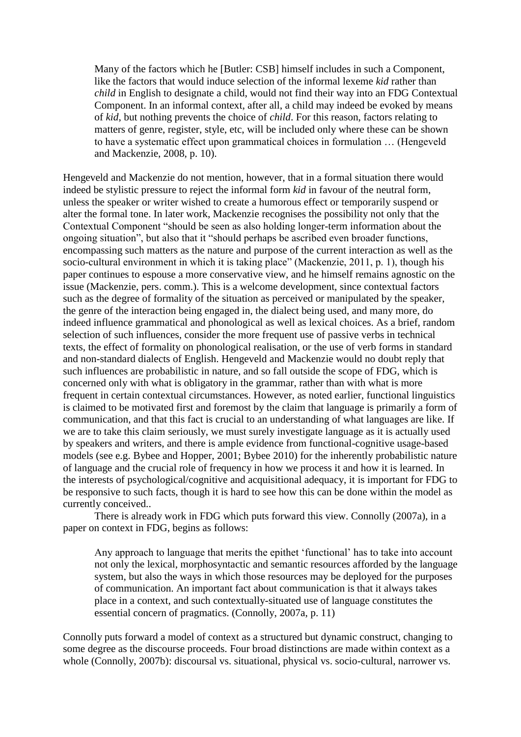Many of the factors which he [Butler: CSB] himself includes in such a Component, like the factors that would induce selection of the informal lexeme *kid* rather than *child* in English to designate a child, would not find their way into an FDG Contextual Component. In an informal context, after all, a child may indeed be evoked by means of *kid*, but nothing prevents the choice of *child*. For this reason, factors relating to matters of genre, register, style, etc, will be included only where these can be shown to have a systematic effect upon grammatical choices in formulation … (Hengeveld and Mackenzie, 2008, p. 10).

Hengeveld and Mackenzie do not mention, however, that in a formal situation there would indeed be stylistic pressure to reject the informal form *kid* in favour of the neutral form, unless the speaker or writer wished to create a humorous effect or temporarily suspend or alter the formal tone. In later work, Mackenzie recognises the possibility not only that the Contextual Component "should be seen as also holding longer-term information about the ongoing situation", but also that it "should perhaps be ascribed even broader functions, encompassing such matters as the nature and purpose of the current interaction as well as the socio-cultural environment in which it is taking place" (Mackenzie, 2011, p. 1), though his paper continues to espouse a more conservative view, and he himself remains agnostic on the issue (Mackenzie, pers. comm.). This is a welcome development, since contextual factors such as the degree of formality of the situation as perceived or manipulated by the speaker, the genre of the interaction being engaged in, the dialect being used, and many more, do indeed influence grammatical and phonological as well as lexical choices. As a brief, random selection of such influences, consider the more frequent use of passive verbs in technical texts, the effect of formality on phonological realisation, or the use of verb forms in standard and non-standard dialects of English. Hengeveld and Mackenzie would no doubt reply that such influences are probabilistic in nature, and so fall outside the scope of FDG, which is concerned only with what is obligatory in the grammar, rather than with what is more frequent in certain contextual circumstances. However, as noted earlier, functional linguistics is claimed to be motivated first and foremost by the claim that language is primarily a form of communication, and that this fact is crucial to an understanding of what languages are like. If we are to take this claim seriously, we must surely investigate language as it is actually used by speakers and writers, and there is ample evidence from functional-cognitive usage-based models (see e.g. Bybee and Hopper, 2001; Bybee 2010) for the inherently probabilistic nature of language and the crucial role of frequency in how we process it and how it is learned. In the interests of psychological/cognitive and acquisitional adequacy, it is important for FDG to be responsive to such facts, though it is hard to see how this can be done within the model as currently conceived..

There is already work in FDG which puts forward this view. Connolly (2007a), in a paper on context in FDG, begins as follows:

Any approach to language that merits the epithet 'functional' has to take into account not only the lexical, morphosyntactic and semantic resources afforded by the language system, but also the ways in which those resources may be deployed for the purposes of communication. An important fact about communication is that it always takes place in a context, and such contextually-situated use of language constitutes the essential concern of pragmatics. (Connolly, 2007a, p. 11)

Connolly puts forward a model of context as a structured but dynamic construct, changing to some degree as the discourse proceeds. Four broad distinctions are made within context as a whole (Connolly, 2007b): discoursal vs. situational, physical vs. socio-cultural, narrower vs.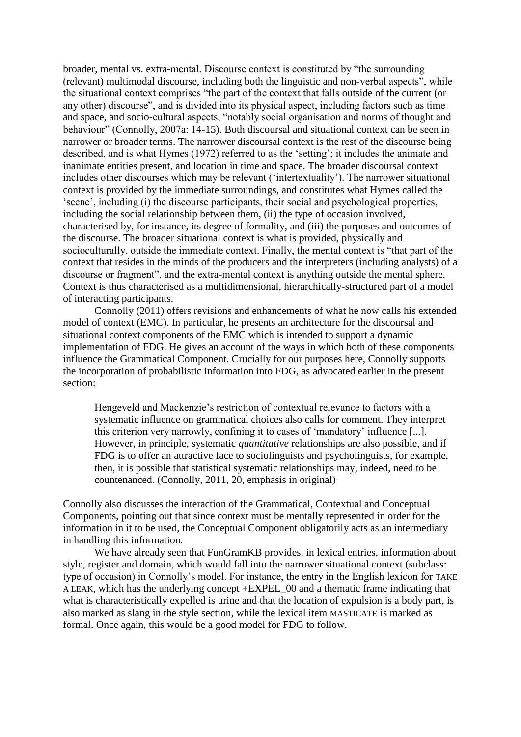broader, mental vs. extra-mental. Discourse context is constituted by "the surrounding (relevant) multimodal discourse, including both the linguistic and non-verbal aspects", while the situational context comprises "the part of the context that falls outside of the current (or any other) discourse", and is divided into its physical aspect, including factors such as time and space, and socio-cultural aspects, "notably social organisation and norms of thought and behaviour" (Connolly, 2007a: 14-15). Both discoursal and situational context can be seen in narrower or broader terms. The narrower discoursal context is the rest of the discourse being described, and is what Hymes (1972) referred to as the 'setting'; it includes the animate and inanimate entities present, and location in time and space. The broader discoursal context includes other discourses which may be relevant ('intertextuality'). The narrower situational context is provided by the immediate surroundings, and constitutes what Hymes called the 'scene', including (i) the discourse participants, their social and psychological properties, including the social relationship between them, (ii) the type of occasion involved, characterised by, for instance, its degree of formality, and (iii) the purposes and outcomes of the discourse. The broader situational context is what is provided, physically and socioculturally, outside the immediate context. Finally, the mental context is "that part of the context that resides in the minds of the producers and the interpreters (including analysts) of a discourse or fragment", and the extra-mental context is anything outside the mental sphere. Context is thus characterised as a multidimensional, hierarchically-structured part of a model of interacting participants.

Connolly (2011) offers revisions and enhancements of what he now calls his extended model of context (EMC). In particular, he presents an architecture for the discoursal and situational context components of the EMC which is intended to support a dynamic implementation of FDG. He gives an account of the ways in which both of these components influence the Grammatical Component. Crucially for our purposes here, Connolly supports the incorporation of probabilistic information into FDG, as advocated earlier in the present section:

Hengeveld and Mackenzie's restriction of contextual relevance to factors with a systematic influence on grammatical choices also calls for comment. They interpret this criterion very narrowly, confining it to cases of 'mandatory' influence [...]. However, in principle, systematic *quantitative* relationships are also possible, and if FDG is to offer an attractive face to sociolinguists and psycholinguists, for example, then, it is possible that statistical systematic relationships may, indeed, need to be countenanced. (Connolly, 2011, 20, emphasis in original)

Connolly also discusses the interaction of the Grammatical, Contextual and Conceptual Components, pointing out that since context must be mentally represented in order for the information in it to be used, the Conceptual Component obligatorily acts as an intermediary in handling this information.

We have already seen that FunGramKB provides, in lexical entries, information about style, register and domain, which would fall into the narrower situational context (subclass: type of occasion) in Connolly's model. For instance, the entry in the English lexicon for TAKE A LEAK, which has the underlying concept +EXPEL\_00 and a thematic frame indicating that what is characteristically expelled is urine and that the location of expulsion is a body part, is also marked as slang in the style section, while the lexical item MASTICATE is marked as formal. Once again, this would be a good model for FDG to follow.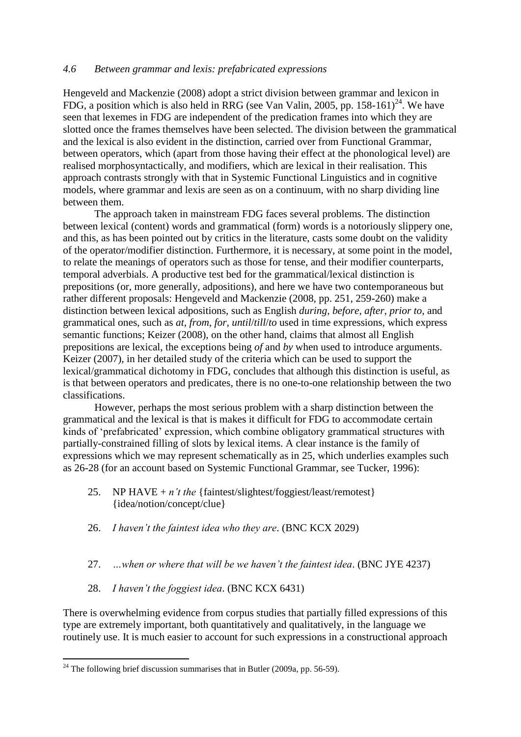#### *4.6 Between grammar and lexis: prefabricated expressions*

Hengeveld and Mackenzie (2008) adopt a strict division between grammar and lexicon in FDG, a position which is also held in RRG (see Van Valin, 2005, pp. 158-161)<sup>24</sup>. We have seen that lexemes in FDG are independent of the predication frames into which they are slotted once the frames themselves have been selected. The division between the grammatical and the lexical is also evident in the distinction, carried over from Functional Grammar, between operators, which (apart from those having their effect at the phonological level) are realised morphosyntactically, and modifiers, which are lexical in their realisation. This approach contrasts strongly with that in Systemic Functional Linguistics and in cognitive models, where grammar and lexis are seen as on a continuum, with no sharp dividing line between them.

The approach taken in mainstream FDG faces several problems. The distinction between lexical (content) words and grammatical (form) words is a notoriously slippery one, and this, as has been pointed out by critics in the literature, casts some doubt on the validity of the operator/modifier distinction. Furthermore, it is necessary, at some point in the model, to relate the meanings of operators such as those for tense, and their modifier counterparts, temporal adverbials. A productive test bed for the grammatical/lexical distinction is prepositions (or, more generally, adpositions), and here we have two contemporaneous but rather different proposals: Hengeveld and Mackenzie (2008, pp. 251, 259-260) make a distinction between lexical adpositions, such as English *during*, *before*, *after*, *prior to*, and grammatical ones, such as *at*, *from*, *for*, *until*/*till*/*to* used in time expressions, which express semantic functions; Keizer (2008), on the other hand, claims that almost all English prepositions are lexical, the exceptions being *of* and *by* when used to introduce arguments. Keizer (2007), in her detailed study of the criteria which can be used to support the lexical/grammatical dichotomy in FDG, concludes that although this distinction is useful, as is that between operators and predicates, there is no one-to-one relationship between the two classifications.

However, perhaps the most serious problem with a sharp distinction between the grammatical and the lexical is that is makes it difficult for FDG to accommodate certain kinds of 'prefabricated' expression, which combine obligatory grammatical structures with partially-constrained filling of slots by lexical items. A clear instance is the family of expressions which we may represent schematically as in [25,](#page-19-0) which underlies examples such as [26-](#page-19-1)[28](#page-19-2) (for an account based on Systemic Functional Grammar, see Tucker, 1996):

- <span id="page-19-0"></span>25. NP HAVE + *n't the* {faintest/slightest/foggiest/least/remotest} {idea/notion/concept/clue}
- <span id="page-19-1"></span>26. *I haven't the faintest idea who they are*. (BNC KCX 2029)
- 27. *…when or where that will be we haven't the faintest idea*. (BNC JYE 4237)
- 28. *I haven't the foggiest idea*. (BNC KCX 6431)

<span id="page-19-2"></span>There is overwhelming evidence from corpus studies that partially filled expressions of this type are extremely important, both quantitatively and qualitatively, in the language we routinely use. It is much easier to account for such expressions in a constructional approach

1

 $24$  The following brief discussion summarises that in Butler (2009a, pp. 56-59).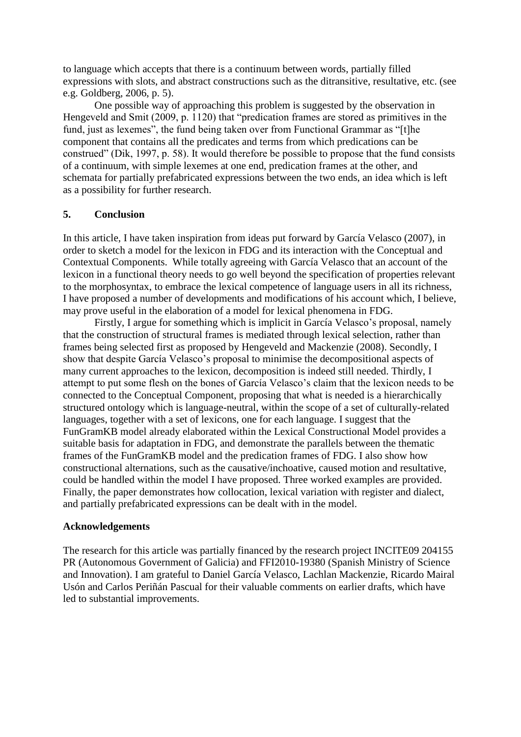to language which accepts that there is a continuum between words, partially filled expressions with slots, and abstract constructions such as the ditransitive, resultative, etc. (see e.g. Goldberg, 2006, p. 5).

One possible way of approaching this problem is suggested by the observation in Hengeveld and Smit (2009, p. 1120) that "predication frames are stored as primitives in the fund, just as lexemes", the fund being taken over from Functional Grammar as "[t]he component that contains all the predicates and terms from which predications can be construed" (Dik, 1997, p. 58). It would therefore be possible to propose that the fund consists of a continuum, with simple lexemes at one end, predication frames at the other, and schemata for partially prefabricated expressions between the two ends, an idea which is left as a possibility for further research.

## **5. Conclusion**

In this article, I have taken inspiration from ideas put forward by García Velasco (2007), in order to sketch a model for the lexicon in FDG and its interaction with the Conceptual and Contextual Components. While totally agreeing with García Velasco that an account of the lexicon in a functional theory needs to go well beyond the specification of properties relevant to the morphosyntax, to embrace the lexical competence of language users in all its richness, I have proposed a number of developments and modifications of his account which, I believe, may prove useful in the elaboration of a model for lexical phenomena in FDG.

Firstly, I argue for something which is implicit in García Velasco's proposal, namely that the construction of structural frames is mediated through lexical selection, rather than frames being selected first as proposed by Hengeveld and Mackenzie (2008). Secondly, I show that despite García Velasco's proposal to minimise the decompositional aspects of many current approaches to the lexicon, decomposition is indeed still needed. Thirdly, I attempt to put some flesh on the bones of García Velasco's claim that the lexicon needs to be connected to the Conceptual Component, proposing that what is needed is a hierarchically structured ontology which is language-neutral, within the scope of a set of culturally-related languages, together with a set of lexicons, one for each language. I suggest that the FunGramKB model already elaborated within the Lexical Constructional Model provides a suitable basis for adaptation in FDG, and demonstrate the parallels between the thematic frames of the FunGramKB model and the predication frames of FDG. I also show how constructional alternations, such as the causative/inchoative, caused motion and resultative, could be handled within the model I have proposed. Three worked examples are provided. Finally, the paper demonstrates how collocation, lexical variation with register and dialect, and partially prefabricated expressions can be dealt with in the model.

## **Acknowledgements**

The research for this article was partially financed by the research project INCITE09 204155 PR (Autonomous Government of Galicia) and FFI2010-19380 (Spanish Ministry of Science and Innovation). I am grateful to Daniel García Velasco, Lachlan Mackenzie, Ricardo Mairal Usón and Carlos Periñán Pascual for their valuable comments on earlier drafts, which have led to substantial improvements.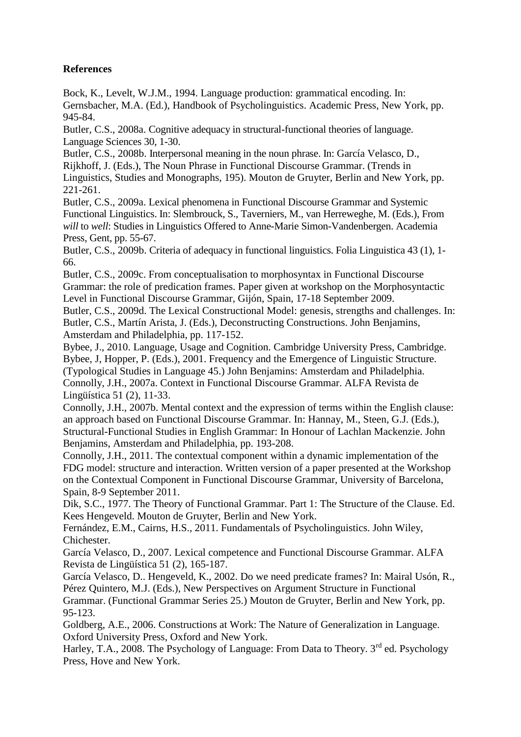## **References**

Bock, K., Levelt, W.J.M., 1994. Language production: grammatical encoding. In: Gernsbacher, M.A. (Ed.), Handbook of Psycholinguistics. Academic Press, New York, pp. 945-84.

Butler, C.S., 2008a. Cognitive adequacy in structural-functional theories of language. Language Sciences 30, 1-30.

Butler, C.S., 2008b. Interpersonal meaning in the noun phrase. In: García Velasco, D., Rijkhoff, J. (Eds.), The Noun Phrase in Functional Discourse Grammar. (Trends in Linguistics, Studies and Monographs, 195). Mouton de Gruyter, Berlin and New York, pp. 221-261.

Butler, C.S., 2009a. Lexical phenomena in Functional Discourse Grammar and Systemic Functional Linguistics. In: Slembrouck, S., Taverniers, M., van Herreweghe, M. (Eds.), From *will* to *well*: Studies in Linguistics Offered to Anne-Marie Simon-Vandenbergen. Academia Press, Gent, pp. 55-67.

Butler, C.S., 2009b. Criteria of adequacy in functional linguistics. Folia Linguistica 43 (1), 1- 66.

Butler, C.S., 2009c. From conceptualisation to morphosyntax in Functional Discourse Grammar: the role of predication frames. Paper given at workshop on the Morphosyntactic Level in Functional Discourse Grammar, Gijón, Spain, 17-18 September 2009.

Butler, C.S., 2009d. The Lexical Constructional Model: genesis, strengths and challenges. In: Butler, C.S., Martín Arista, J. (Eds.), Deconstructing Constructions. John Benjamins, Amsterdam and Philadelphia, pp. 117-152.

Bybee, J., 2010. Language, Usage and Cognition. Cambridge University Press, Cambridge. Bybee, J, Hopper, P. (Eds.), 2001. Frequency and the Emergence of Linguistic Structure. (Typological Studies in Language 45.) John Benjamins: Amsterdam and Philadelphia. Connolly, J.H., 2007a. Context in Functional Discourse Grammar. ALFA Revista de Lingüística 51 (2), 11-33.

Connolly, J.H., 2007b. Mental context and the expression of terms within the English clause: an approach based on Functional Discourse Grammar. In: Hannay, M., Steen, G.J. (Eds.), Structural-Functional Studies in English Grammar: In Honour of Lachlan Mackenzie. John Benjamins, Amsterdam and Philadelphia, pp. 193-208.

Connolly, J.H., 2011. The contextual component within a dynamic implementation of the FDG model: structure and interaction. Written version of a paper presented at the Workshop on the Contextual Component in Functional Discourse Grammar, University of Barcelona, Spain, 8-9 September 2011.

Dik, S.C., 1977. The Theory of Functional Grammar. Part 1: The Structure of the Clause. Ed. Kees Hengeveld. Mouton de Gruyter, Berlin and New York.

Fernández, E.M., Cairns, H.S., 2011. Fundamentals of Psycholinguistics. John Wiley, Chichester.

García Velasco, D., 2007. Lexical competence and Functional Discourse Grammar. ALFA Revista de Lingüística 51 (2), 165-187.

García Velasco, D.. Hengeveld, K., 2002. Do we need predicate frames? In: Mairal Usón, R., Pérez Quintero, M.J. (Eds.), New Perspectives on Argument Structure in Functional

Grammar. (Functional Grammar Series 25.) Mouton de Gruyter, Berlin and New York, pp. 95-123.

Goldberg, A.E., 2006. Constructions at Work: The Nature of Generalization in Language. Oxford University Press, Oxford and New York.

Harley, T.A., 2008. The Psychology of Language: From Data to Theory.  $3^{rd}$  ed. Psychology Press, Hove and New York.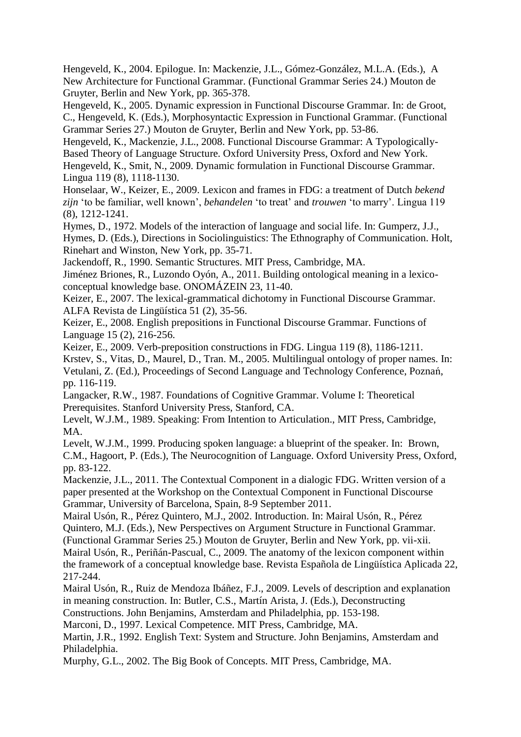Hengeveld, K., 2004. Epilogue. In: Mackenzie, J.L., Gómez-González, M.L.A. (Eds.), A New Architecture for Functional Grammar. (Functional Grammar Series 24.) Mouton de Gruyter, Berlin and New York, pp. 365-378.

Hengeveld, K., 2005. Dynamic expression in Functional Discourse Grammar. In: de Groot, C., Hengeveld, K. (Eds.), Morphosyntactic Expression in Functional Grammar. (Functional Grammar Series 27.) Mouton de Gruyter, Berlin and New York, pp. 53-86.

Hengeveld, K., Mackenzie, J.L., 2008. Functional Discourse Grammar: A Typologically-Based Theory of Language Structure. Oxford University Press, Oxford and New York.

Hengeveld, K., Smit, N., 2009. Dynamic formulation in Functional Discourse Grammar. Lingua 119 (8), 1118-1130.

Honselaar, W., Keizer, E., 2009. Lexicon and frames in FDG: a treatment of Dutch *bekend zijn* 'to be familiar, well known', *behandelen* 'to treat' and *trouwen* 'to marry'. Lingua 119 (8), 1212-1241.

Hymes, D., 1972. Models of the interaction of language and social life. In: Gumperz, J.J., Hymes, D. (Eds.), Directions in Sociolinguistics: The Ethnography of Communication. Holt, Rinehart and Winston, New York, pp. 35-71.

Jackendoff, R., 1990. Semantic Structures. MIT Press, Cambridge, MA.

Jiménez Briones, R., Luzondo Oyón, A., 2011. Building ontological meaning in a lexicoconceptual knowledge base. ONOMÁZEIN 23, 11-40.

Keizer, E., 2007. The lexical-grammatical dichotomy in Functional Discourse Grammar. ALFA Revista de Lingüística 51 (2), 35-56.

Keizer, E., 2008. English prepositions in Functional Discourse Grammar. Functions of Language 15 (2), 216-256.

Keizer, E., 2009. Verb-preposition constructions in FDG. Lingua 119 (8), 1186-1211. Krstev, S., Vitas, D., Maurel, D., Tran. M., 2005. Multilingual ontology of proper names. In: Vetulani, Z. (Ed.), Proceedings of Second Language and Technology Conference, Poznań, pp. 116-119.

Langacker, R.W., 1987. Foundations of Cognitive Grammar. Volume I: Theoretical Prerequisites. Stanford University Press, Stanford, CA.

Levelt, W.J.M., 1989. Speaking: From Intention to Articulation., MIT Press, Cambridge, MA.

Levelt, W.J.M., 1999. Producing spoken language: a blueprint of the speaker. In: Brown, C.M., Hagoort, P. (Eds.), The Neurocognition of Language. Oxford University Press, Oxford, pp. 83-122.

Mackenzie, J.L., 2011. The Contextual Component in a dialogic FDG. Written version of a paper presented at the Workshop on the Contextual Component in Functional Discourse Grammar, University of Barcelona, Spain, 8-9 September 2011.

Mairal Usón, R., Pérez Quintero, M.J., 2002. Introduction. In: Mairal Usón, R., Pérez Quintero, M.J. (Eds.), New Perspectives on Argument Structure in Functional Grammar. (Functional Grammar Series 25.) Mouton de Gruyter, Berlin and New York, pp. vii-xii.

Mairal Usón, R., Periñán-Pascual, C., 2009. The anatomy of the lexicon component within the framework of a conceptual knowledge base. Revista Española de Lingüística Aplicada 22, 217-244.

Mairal Usón, R., Ruiz de Mendoza Ibáñez, F.J., 2009. Levels of description and explanation in meaning construction. In: Butler, C.S., Martín Arista, J. (Eds.), Deconstructing

Constructions. John Benjamins, Amsterdam and Philadelphia, pp. 153-198.

Marconi, D., 1997. Lexical Competence. MIT Press, Cambridge, MA.

Martin, J.R., 1992. English Text: System and Structure. John Benjamins, Amsterdam and Philadelphia.

Murphy, G.L., 2002. The Big Book of Concepts. MIT Press, Cambridge, MA.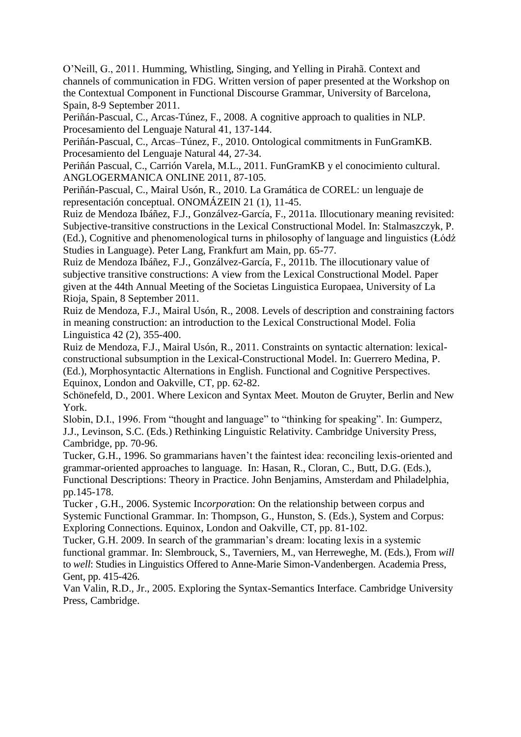O'Neill, G., 2011. Humming, Whistling, Singing, and Yelling in Pirahã. Context and channels of communication in FDG. Written version of paper presented at the Workshop on the Contextual Component in Functional Discourse Grammar, University of Barcelona, Spain, 8-9 September 2011.

Periñán-Pascual, C., Arcas-Túnez, F., 2008. A cognitive approach to qualities in NLP. Procesamiento del Lenguaje Natural 41, 137-144.

Periñán-Pascual, C., Arcas–Túnez, F., 2010. Ontological commitments in FunGramKB. Procesamiento del Lenguaje Natural 44, 27-34.

Periñán Pascual, C., Carrión Varela, M.L., 2011. FunGramKB y el conocimiento cultural. ANGLOGERMANICA ONLINE 2011, 87-105.

Periñán-Pascual, C., Mairal Usón, R., 2010. La Gramática de COREL: un lenguaje de representación conceptual. ONOMÁZEIN 21 (1), 11-45.

Ruiz de Mendoza Ibáñez, F.J., Gonzálvez-García, F., 2011a. Illocutionary meaning revisited: Subjective-transitive constructions in the Lexical Constructional Model. In: Stalmaszczyk, P. (Ed.), Cognitive and phenomenological turns in philosophy of language and linguistics (Łódź Studies in Language). Peter Lang, Frankfurt am Main, pp. 65-77.

Ruiz de Mendoza Ibáñez, F.J., Gonzálvez-García, F., 2011b. The illocutionary value of subjective transitive constructions: A view from the Lexical Constructional Model. Paper given at the 44th Annual Meeting of the Societas Linguistica Europaea, University of La Rioja, Spain, 8 September 2011.

Ruiz de Mendoza, F.J., Mairal Usón, R., 2008. Levels of description and constraining factors in meaning construction: an introduction to the Lexical Constructional Model. Folia Linguistica 42 (2), 355-400.

Ruiz de Mendoza, F.J., Mairal Usón, R., 2011. Constraints on syntactic alternation: lexicalconstructional subsumption in the Lexical-Constructional Model. In: Guerrero Medina, P. (Ed.), Morphosyntactic Alternations in English. Functional and Cognitive Perspectives. Equinox, London and Oakville, CT, pp. 62-82.

Schönefeld, D., 2001. Where Lexicon and Syntax Meet*.* Mouton de Gruyter, Berlin and New York.

Slobin, D.I., 1996. From "thought and language" to "thinking for speaking". In: Gumperz, J.J., Levinson, S.C. (Eds.) Rethinking Linguistic Relativity. Cambridge University Press, Cambridge, pp. 70-96.

Tucker, G.H., 1996. So grammarians haven't the faintest idea: reconciling lexis-oriented and grammar-oriented approaches to language. In: Hasan, R., Cloran, C., Butt, D.G. (Eds.), Functional Descriptions: Theory in Practice. John Benjamins, Amsterdam and Philadelphia, pp.145-178.

Tucker , G.H., 2006. Systemic In*corpora*tion: On the relationship between corpus and Systemic Functional Grammar. In: Thompson, G., Hunston, S. (Eds.), System and Corpus: Exploring Connections. Equinox, London and Oakville, CT, pp. 81-102.

Tucker, G.H. 2009. In search of the grammarian's dream: locating lexis in a systemic functional grammar. In: Slembrouck, S., Taverniers, M., van Herreweghe, M. (Eds.), From *will* to *well*: Studies in Linguistics Offered to Anne-Marie Simon-Vandenbergen. Academia Press, Gent, pp. 415-426.

Van Valin, R.D., Jr., 2005. Exploring the Syntax-Semantics Interface. Cambridge University Press, Cambridge.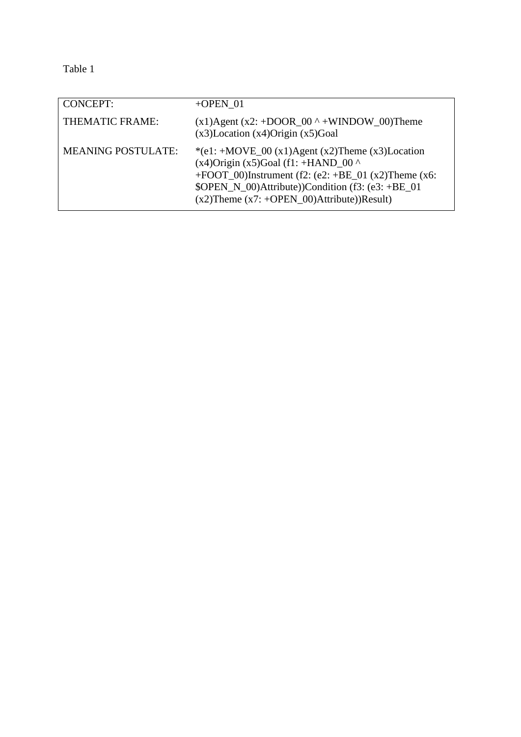| <b>CONCEPT:</b>           | $+$ OPEN 01                                                                                                                                                                                                                                                                      |
|---------------------------|----------------------------------------------------------------------------------------------------------------------------------------------------------------------------------------------------------------------------------------------------------------------------------|
| <b>THEMATIC FRAME:</b>    | $(x1)$ Agent $(x2: +DOOR_00^+ + WINDOW_00)$ Theme<br>$(x3)$ Location $(x4)$ Origin $(x5)$ Goal                                                                                                                                                                                   |
| <b>MEANING POSTULATE:</b> | *(e1: +MOVE_00 (x1)Agent (x2)Theme (x3)Location<br>$(x4)$ Origin $(x5)$ Goal $(f1: +HAND_00^{\wedge})$<br>+FOOT_00)Instrument (f2: $(e2: +BE_01(x2)$ Theme (x6:<br>\$OPEN N 00)Attribute))Condition ( $f3$ : ( $e3$ : +BE 01<br>$(x2)$ Theme $(x7: +$ OPEN 00)Attribute))Result) |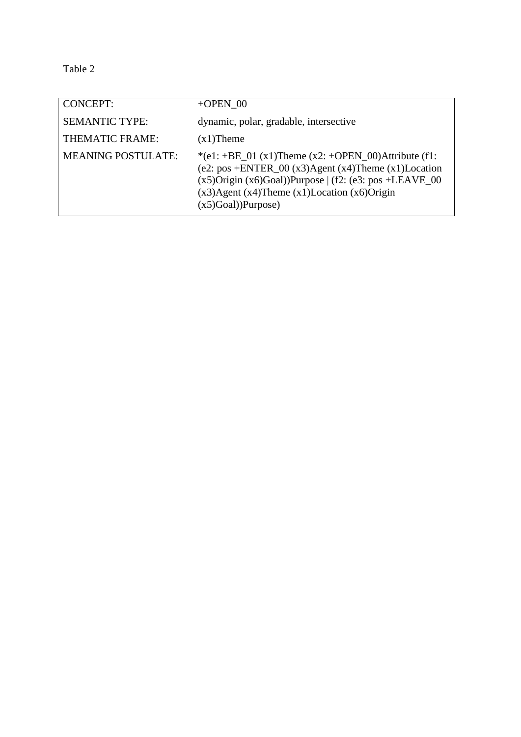| <b>CONCEPT:</b>           | $+$ OPEN 00                                                                                                                                                                                                                                                       |
|---------------------------|-------------------------------------------------------------------------------------------------------------------------------------------------------------------------------------------------------------------------------------------------------------------|
| <b>SEMANTIC TYPE:</b>     | dynamic, polar, gradable, intersective                                                                                                                                                                                                                            |
| THEMATIC FRAME:           | $(x1)$ Theme                                                                                                                                                                                                                                                      |
| <b>MEANING POSTULATE:</b> | *(e1: +BE_01 (x1)Theme (x2: +OPEN_00)Attribute (f1:<br>(e2: pos + $ENTER_00(x3)$ Agent (x4)Theme (x1)Location<br>$(x5)$ Origin $(x6)$ Goal))Purpose $ (f2:(e3:pos + LEAVE_00$<br>$(x3)$ Agent $(x4)$ Theme $(x1)$ Location $(x6)$ Origin<br>$(x5)$ Goal))Purpose) |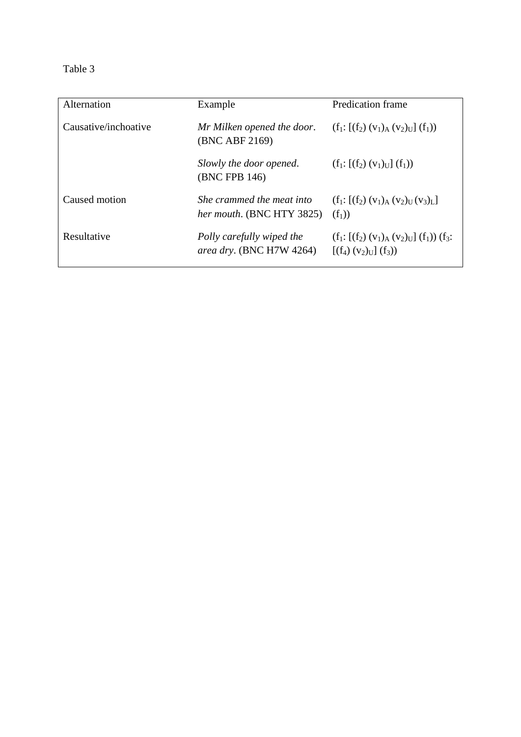| Alternation          | Example                                                | <b>Predication frame</b>                                                |
|----------------------|--------------------------------------------------------|-------------------------------------------------------------------------|
| Causative/inchoative | Mr Milken opened the door.<br>(BNC ABF 2169)           | $(f_1: [(f_2) (v_1)_A (v_2)_U] (f_1))$                                  |
|                      | Slowly the door opened.<br>(BNC FPB 146)               | $(f_1: [(f_2) (v_1)_U] (f_1))$                                          |
| Caused motion        | She crammed the meat into<br>her mouth. (BNC HTY 3825) | $(f_1: [(f_2) (v_1)_A (v_2)_U (v_3)_L]$<br>$(f_1)$                      |
| Resultative          | Polly carefully wiped the<br>area dry. (BNC H7W 4264)  | $(f_1: [(f_2) (v_1)_A (v_2)_U] (f_1)) (f_3)$ :<br>$[(f_4)(v_2)_U](f_3)$ |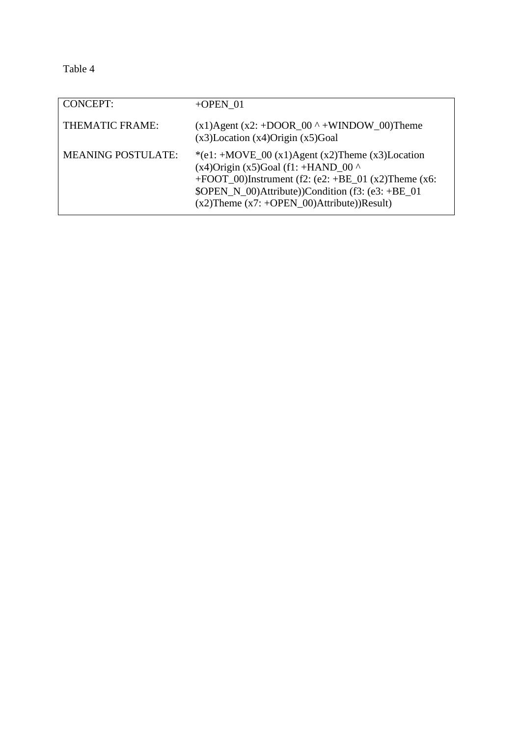| <b>CONCEPT:</b>           | $+$ OPEN 01                                                                                                                                                                                                                                                                       |
|---------------------------|-----------------------------------------------------------------------------------------------------------------------------------------------------------------------------------------------------------------------------------------------------------------------------------|
| THEMATIC FRAME:           | $(x1)$ Agent $(x2: +DOOR_00^{\wedge} + \text{WINDOW}_00)$ Theme<br>$(x3)$ Location $(x4)$ Origin $(x5)$ Goal                                                                                                                                                                      |
| <b>MEANING POSTULATE:</b> | *(e1: +MOVE_00 $(x1)$ Agent $(x2)$ Theme $(x3)$ Location<br>$(x4)$ Origin $(x5)$ Goal $(f1: +HAND_00^{\wedge})$<br>+FOOT_00)Instrument (f2: $(e2: +BE_01(x2)$ Theme (x6:<br>\$OPEN_N_00)Attribute))Condition (f3: (e3: +BE_01<br>$(x2)$ Theme $(x7: +OPEN_00)$ Attribute))Result) |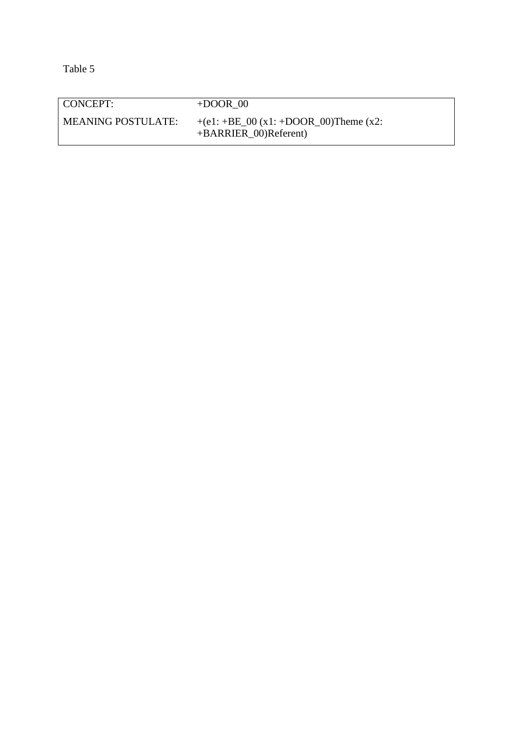| CONCEPT:-                 | $+DOOR$ 00                                                       |
|---------------------------|------------------------------------------------------------------|
| <b>MEANING POSTULATE:</b> | +(e1: +BE_00 (x1: +DOOR_00)Theme (x2:<br>$+BARRIER_00)Referent)$ |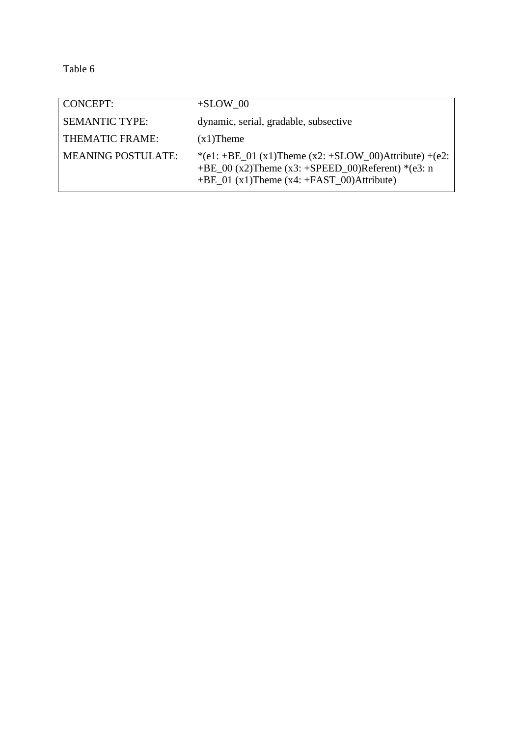| <b>CONCEPT:</b>           | $+SLOW$ 00                                                                                                                                                   |
|---------------------------|--------------------------------------------------------------------------------------------------------------------------------------------------------------|
| <b>SEMANTIC TYPE:</b>     | dynamic, serial, gradable, subsective                                                                                                                        |
| THEMATIC FRAME:           | $(x1)$ Theme                                                                                                                                                 |
| <b>MEANING POSTULATE:</b> | *(e1: +BE_01 (x1)Theme (x2: +SLOW_00)Attribute) +(e2:<br>+BE_00 (x2)Theme (x3: +SPEED_00)Referent) *(e3: n<br>$+BE_01(x1)$ Theme $(x4: +FAST_00)$ Attribute) |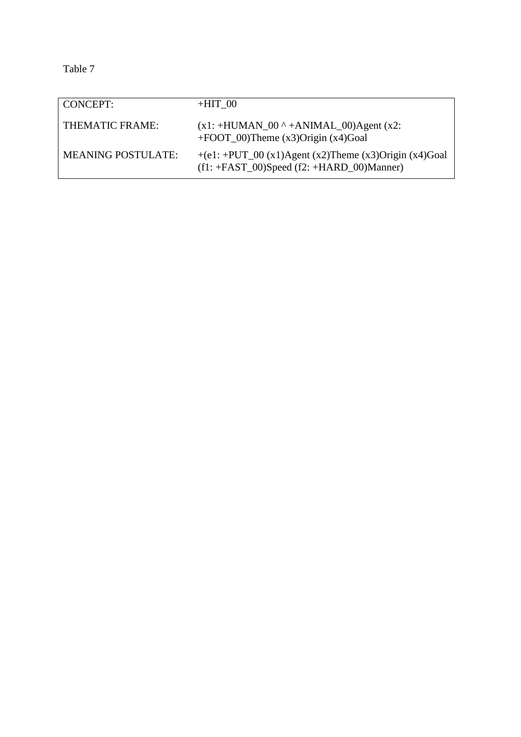| <b>CONCEPT:</b>           | $+HIT$ 00                                                                                            |
|---------------------------|------------------------------------------------------------------------------------------------------|
| THEMATIC FRAME:           | $(x1: +HUMAN_00^+ + ANIMAL_00)$ Agent (x2:<br>$+$ FOOT_00)Theme $(x3)$ Origin $(x4)$ Goal            |
| <b>MEANING POSTULATE:</b> | $+(e1: +PUT_00(x1)Agent(x2)Then (x3)Origin (x4)Goal$<br>$(f1: +FAST_00)Speed (f2: +HARD_00)Manager)$ |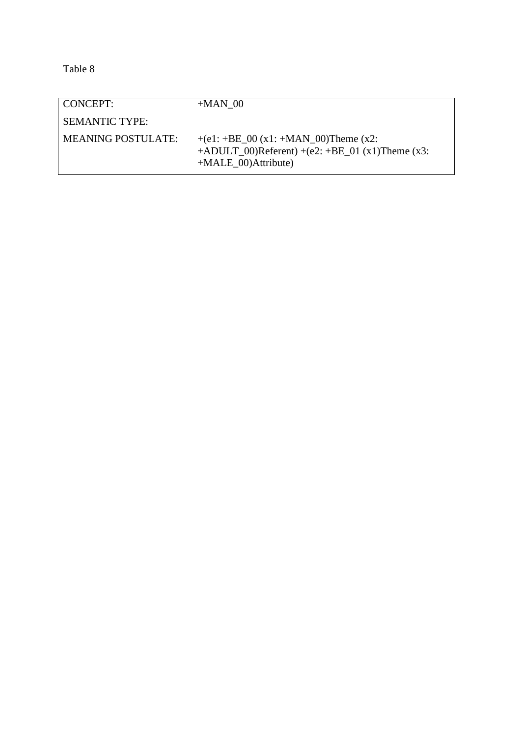| <b>CONCEPT:</b>           | $+MAN$ 00                                                                                                            |
|---------------------------|----------------------------------------------------------------------------------------------------------------------|
| <b>SEMANTIC TYPE:</b>     |                                                                                                                      |
| <b>MEANING POSTULATE:</b> | +(e1: +BE 00 (x1: +MAN 00)Theme (x2:<br>$+A DULT_00)$ Referent) +(e2: +BE_01 (x1)Theme (x3:<br>$+MALE$ 00)Attribute) |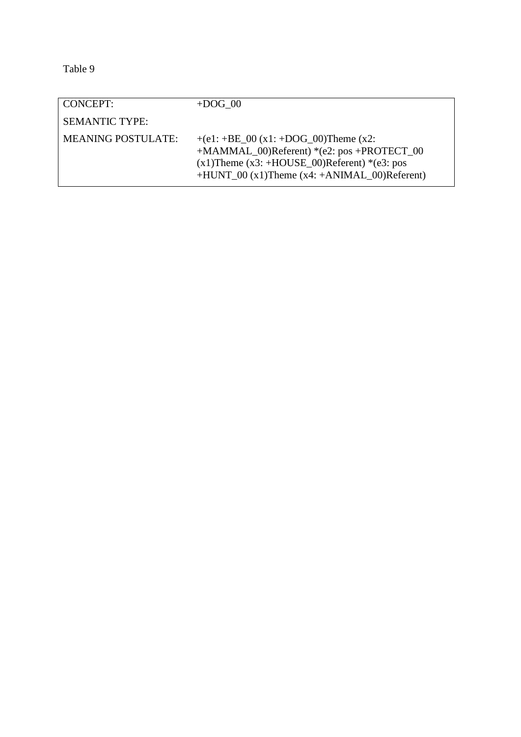| CONCEPT:                  | $+DOG$ 00                                                                                                                                                                                     |
|---------------------------|-----------------------------------------------------------------------------------------------------------------------------------------------------------------------------------------------|
| <b>SEMANTIC TYPE:</b>     |                                                                                                                                                                                               |
| <b>MEANING POSTULATE:</b> | +(e1: +BE_00 (x1: +DOG_00)Theme (x2:<br>+MAMMAL_00)Referent) *(e2: pos +PROTECT_00<br>$(x1)$ Theme $(x3: +HOUSE_00)$ Referent) *(e3: pos<br>$+HUNT_00(x1)$ Theme $(x4: +ANIMAL_00)$ Referent) |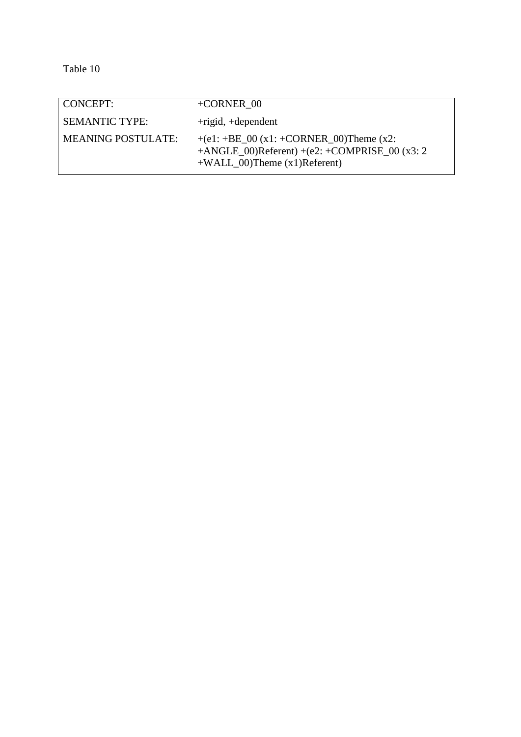| CONCEPT:                  | $+CORNER$ 00                                                                                                                      |
|---------------------------|-----------------------------------------------------------------------------------------------------------------------------------|
| <b>SEMANTIC TYPE:</b>     | $+$ rigid, $+$ dependent                                                                                                          |
| <b>MEANING POSTULATE:</b> | +(e1: +BE_00 (x1: +CORNER_00)Theme (x2:<br>$+ANGLE_00)$ Referent) +(e2: +COMPRISE_00 (x3: 2)<br>$+$ WALL_00)Theme $(x1)$ Referent |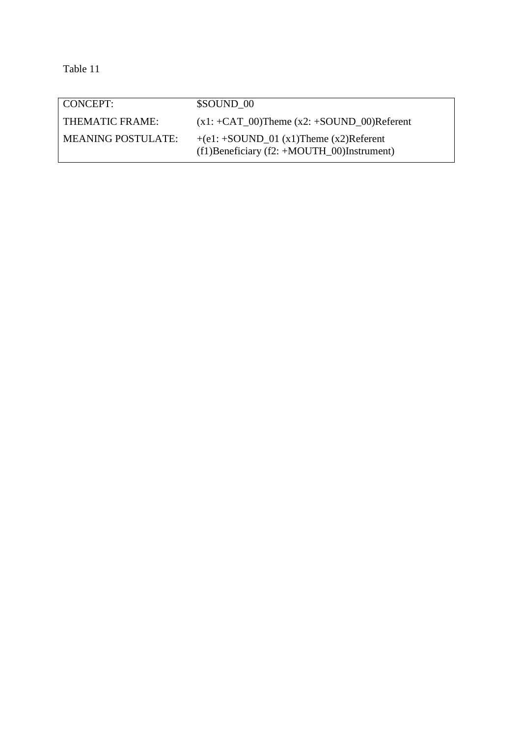| CONCEPT:                  | \$SOUND 00                                                                                    |
|---------------------------|-----------------------------------------------------------------------------------------------|
| THEMATIC FRAME:           | $(x1: +CAT_00)$ Theme $(x2: +SOUND_00)$ Referent                                              |
| <b>MEANING POSTULATE:</b> | $+(e1: +SOUND_01(x1)$ Theme (x2)Referent<br>$(f1)$ Beneficiary $(f2: + MOUTH_00)$ Instrument) |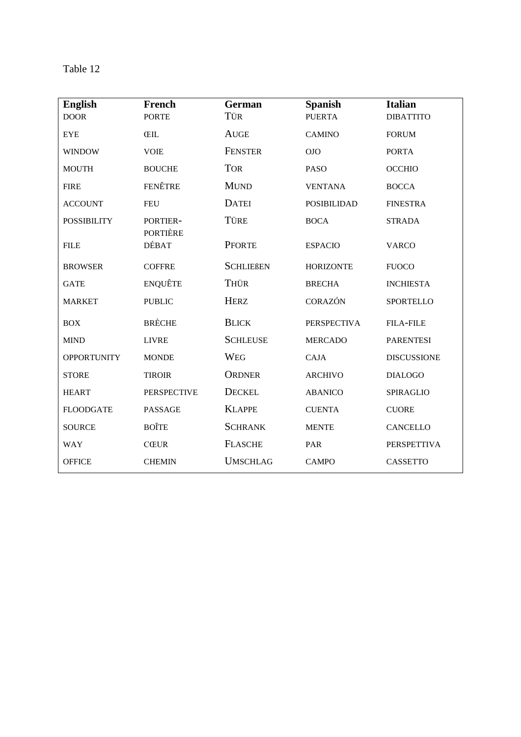| abie |  |
|------|--|
|------|--|

| <b>English</b><br><b>DOOR</b> | French<br><b>PORTE</b>          | German<br>TÜR    | <b>Spanish</b><br><b>PUERTA</b> | <b>Italian</b><br><b>DIBATTITO</b> |
|-------------------------------|---------------------------------|------------------|---------------------------------|------------------------------------|
| <b>EYE</b>                    | <b>CHL</b>                      | <b>AUGE</b>      | <b>CAMINO</b>                   | <b>FORUM</b>                       |
| <b>WINDOW</b>                 | <b>VOIE</b>                     | <b>FENSTER</b>   | OJO                             | <b>PORTA</b>                       |
| <b>MOUTH</b>                  | <b>BOUCHE</b>                   | <b>TOR</b>       | <b>PASO</b>                     | <b>OCCHIO</b>                      |
| <b>FIRE</b>                   | <b>FENÊTRE</b>                  | <b>MUND</b>      | <b>VENTANA</b>                  | <b>BOCCA</b>                       |
| <b>ACCOUNT</b>                | <b>FEU</b>                      | <b>DATEI</b>     | <b>POSIBILIDAD</b>              | <b>FINESTRA</b>                    |
| <b>POSSIBILITY</b>            | PORTIER-                        | TÜRE             | <b>BOCA</b>                     | <b>STRADA</b>                      |
| <b>FILE</b>                   | <b>PORTIÈRE</b><br><b>DÉBAT</b> | <b>PFORTE</b>    | <b>ESPACIO</b>                  | <b>VARCO</b>                       |
| <b>BROWSER</b>                | <b>COFFRE</b>                   | <b>SCHLIEBEN</b> | <b>HORIZONTE</b>                | <b>FUOCO</b>                       |
| <b>GATE</b>                   | <b>ENQUÊTE</b>                  | THÜR             | <b>BRECHA</b>                   | <b>INCHIESTA</b>                   |
| <b>MARKET</b>                 | <b>PUBLIC</b>                   | <b>HERZ</b>      | CORAZÓN                         | <b>SPORTELLO</b>                   |
| <b>BOX</b>                    | <b>BRÈCHE</b>                   | <b>BLICK</b>     | <b>PERSPECTIVA</b>              | <b>FILA-FILE</b>                   |
| <b>MIND</b>                   | <b>LIVRE</b>                    | <b>SCHLEUSE</b>  | <b>MERCADO</b>                  | <b>PARENTESI</b>                   |
| <b>OPPORTUNITY</b>            | <b>MONDE</b>                    | <b>WEG</b>       | <b>CAJA</b>                     | <b>DISCUSSIONE</b>                 |
| <b>STORE</b>                  | <b>TIROIR</b>                   | ORDNER           | <b>ARCHIVO</b>                  | <b>DIALOGO</b>                     |
| <b>HEART</b>                  | <b>PERSPECTIVE</b>              | <b>DECKEL</b>    | <b>ABANICO</b>                  | <b>SPIRAGLIO</b>                   |
| <b>FLOODGATE</b>              | <b>PASSAGE</b>                  | <b>KLAPPE</b>    | <b>CUENTA</b>                   | <b>CUORE</b>                       |
| <b>SOURCE</b>                 | <b>BOÎTE</b>                    | <b>SCHRANK</b>   | <b>MENTE</b>                    | <b>CANCELLO</b>                    |
| <b>WAY</b>                    | <b>CŒUR</b>                     | <b>FLASCHE</b>   | PAR                             | <b>PERSPETTIVA</b>                 |
| <b>OFFICE</b>                 | <b>CHEMIN</b>                   | <b>UMSCHLAG</b>  | <b>CAMPO</b>                    | <b>CASSETTO</b>                    |